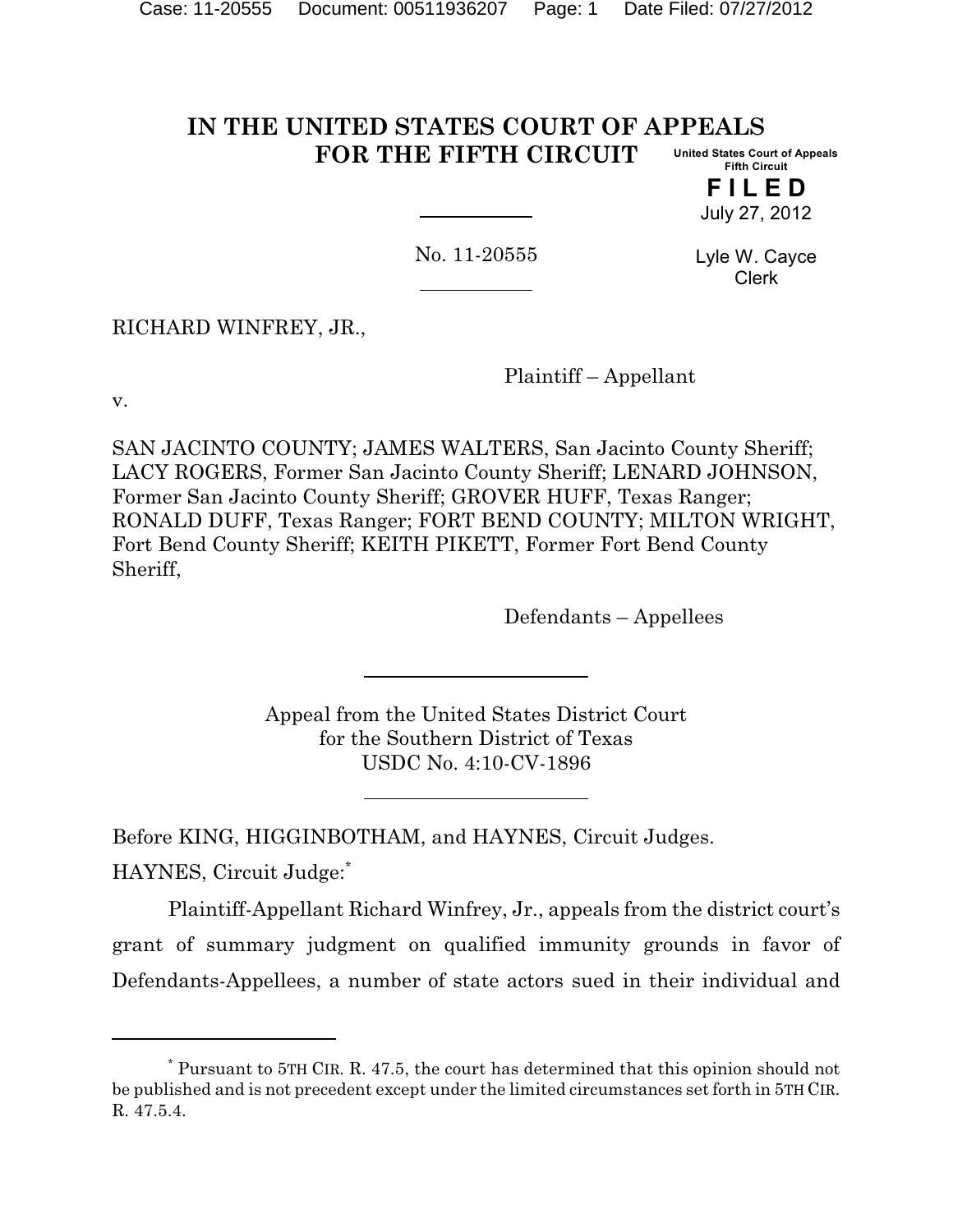#### **IN THE UNITED STATES COURT OF APPEALS FOR THE FIFTH CIRCUIT United States Court of Appeals Fifth Circuit**

**F I L E D** July 27, 2012

No. 11-20555

Lyle W. Cayce Clerk

RICHARD WINFREY, JR.,

Plaintiff – Appellant

v.

SAN JACINTO COUNTY; JAMES WALTERS, San Jacinto County Sheriff; LACY ROGERS, Former San Jacinto County Sheriff; LENARD JOHNSON, Former San Jacinto County Sheriff; GROVER HUFF, Texas Ranger; RONALD DUFF, Texas Ranger; FORT BEND COUNTY; MILTON WRIGHT, Fort Bend County Sheriff; KEITH PIKETT, Former Fort Bend County Sheriff,

Defendants – Appellees

Appeal from the United States District Court for the Southern District of Texas USDC No. 4:10-CV-1896

Before KING, HIGGINBOTHAM, and HAYNES, Circuit Judges.

HAYNES, Circuit Judge:\*

Plaintiff-Appellant Richard Winfrey, Jr., appeals from the district court's grant of summary judgment on qualified immunity grounds in favor of Defendants-Appellees, a number of state actors sued in their individual and

Pursuant to 5TH CIR. R. 47.5, the court has determined that this opinion should not \* be published and is not precedent except under the limited circumstances set forth in 5TH CIR. R. 47.5.4.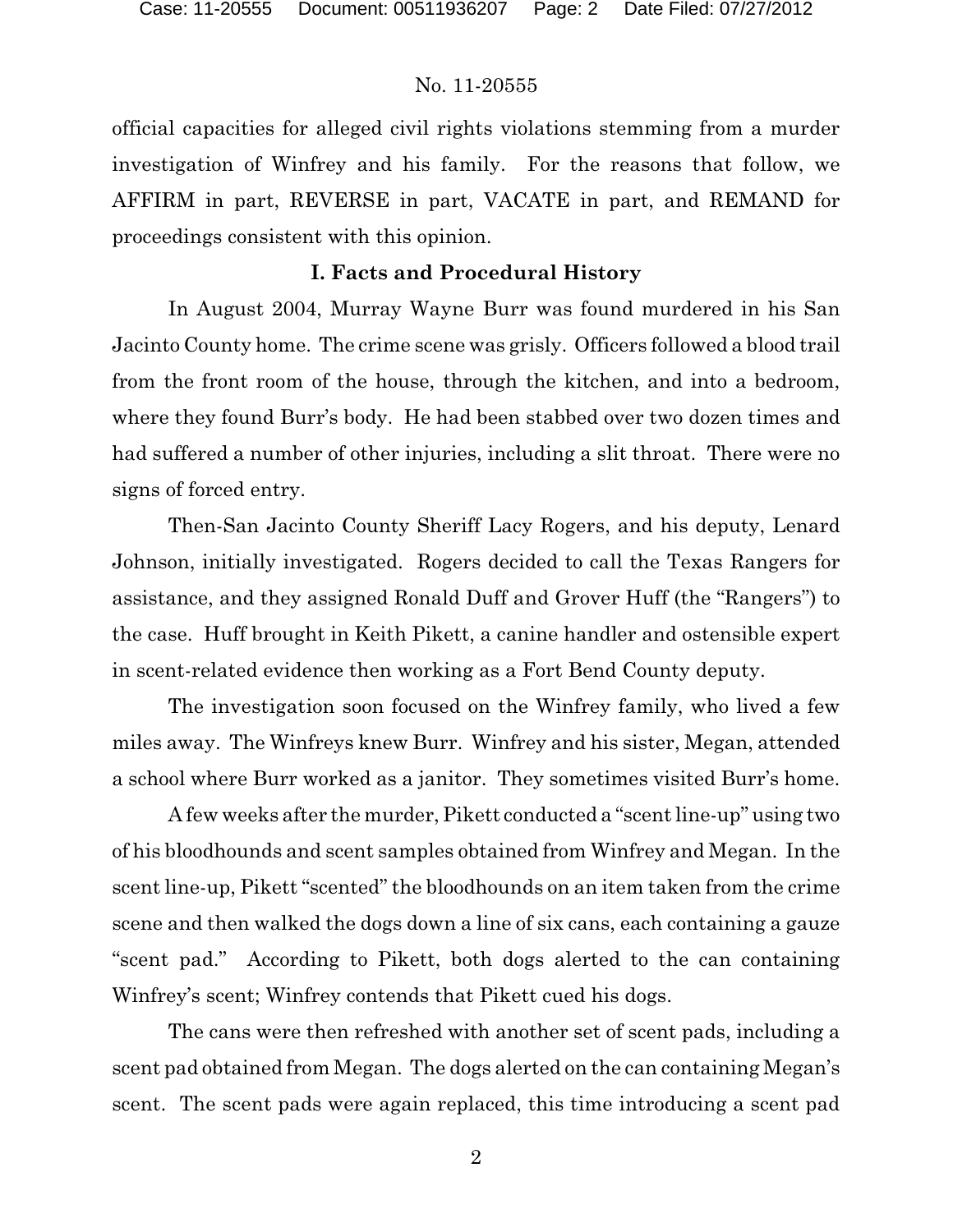official capacities for alleged civil rights violations stemming from a murder investigation of Winfrey and his family. For the reasons that follow, we AFFIRM in part, REVERSE in part, VACATE in part, and REMAND for proceedings consistent with this opinion.

# **I. Facts and Procedural History**

In August 2004, Murray Wayne Burr was found murdered in his San Jacinto County home. The crime scene was grisly. Officers followed a blood trail from the front room of the house, through the kitchen, and into a bedroom, where they found Burr's body. He had been stabbed over two dozen times and had suffered a number of other injuries, including a slit throat. There were no signs of forced entry.

Then-San Jacinto County Sheriff Lacy Rogers, and his deputy, Lenard Johnson, initially investigated. Rogers decided to call the Texas Rangers for assistance, and they assigned Ronald Duff and Grover Huff (the "Rangers") to the case. Huff brought in Keith Pikett, a canine handler and ostensible expert in scent-related evidence then working as a Fort Bend County deputy.

The investigation soon focused on the Winfrey family, who lived a few miles away. The Winfreys knew Burr. Winfrey and his sister, Megan, attended a school where Burr worked as a janitor. They sometimes visited Burr's home.

A few weeks after the murder, Pikett conducted a "scent line-up" using two of his bloodhounds and scent samples obtained from Winfrey and Megan. In the scent line-up, Pikett "scented" the bloodhounds on an item taken from the crime scene and then walked the dogs down a line of six cans, each containing a gauze "scent pad." According to Pikett, both dogs alerted to the can containing Winfrey's scent; Winfrey contends that Pikett cued his dogs.

The cans were then refreshed with another set of scent pads, including a scent pad obtained from Megan. The dogs alerted on the can containing Megan's scent. The scent pads were again replaced, this time introducing a scent pad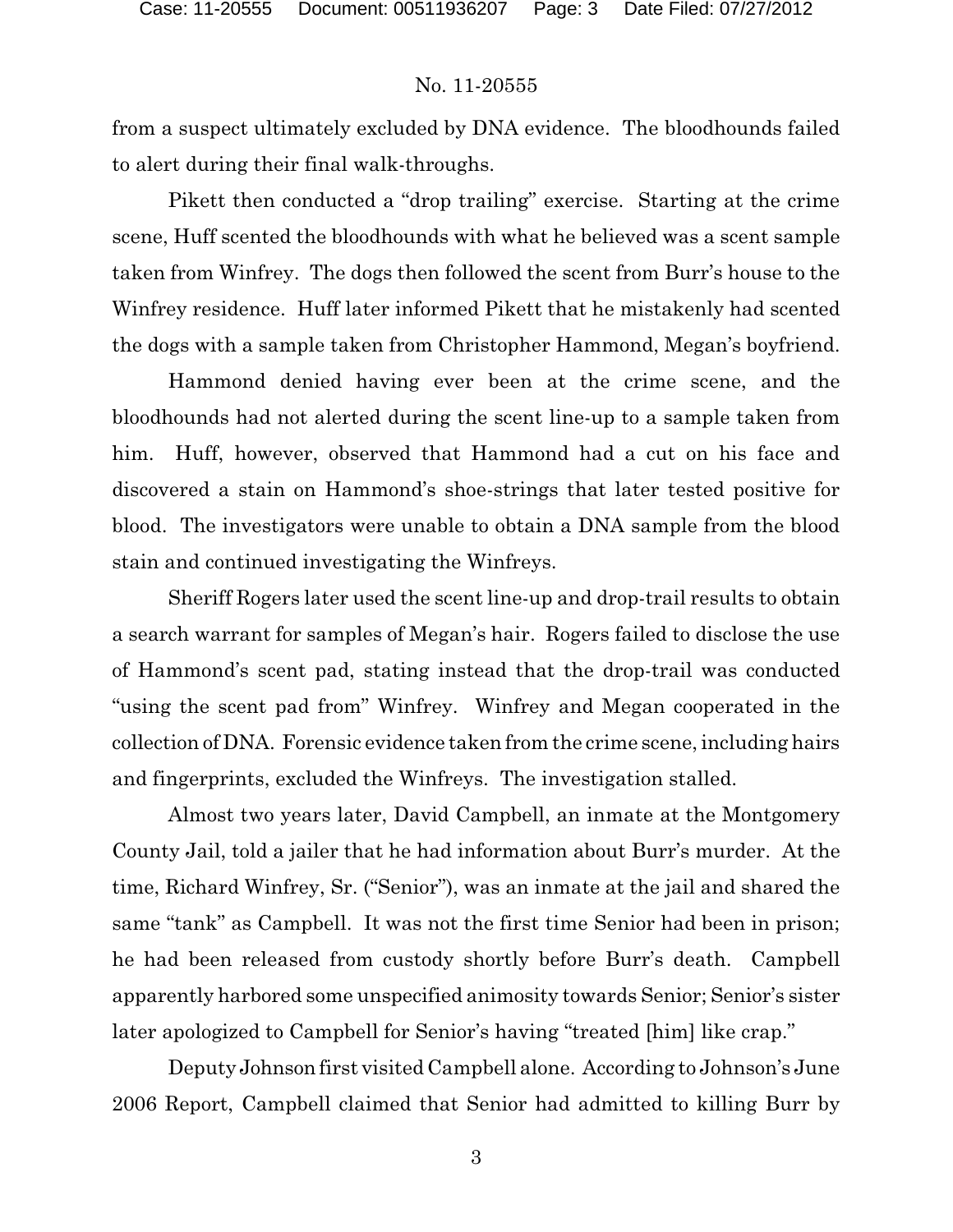from a suspect ultimately excluded by DNA evidence. The bloodhounds failed to alert during their final walk-throughs.

Pikett then conducted a "drop trailing" exercise. Starting at the crime scene, Huff scented the bloodhounds with what he believed was a scent sample taken from Winfrey. The dogs then followed the scent from Burr's house to the Winfrey residence. Huff later informed Pikett that he mistakenly had scented the dogs with a sample taken from Christopher Hammond, Megan's boyfriend.

Hammond denied having ever been at the crime scene, and the bloodhounds had not alerted during the scent line-up to a sample taken from him. Huff, however, observed that Hammond had a cut on his face and discovered a stain on Hammond's shoe-strings that later tested positive for blood. The investigators were unable to obtain a DNA sample from the blood stain and continued investigating the Winfreys.

Sheriff Rogers later used the scent line-up and drop-trail results to obtain a search warrant for samples of Megan's hair. Rogers failed to disclose the use of Hammond's scent pad, stating instead that the drop-trail was conducted "using the scent pad from" Winfrey. Winfrey and Megan cooperated in the collection of DNA. Forensic evidence taken from the crime scene, including hairs and fingerprints, excluded the Winfreys. The investigation stalled.

Almost two years later, David Campbell, an inmate at the Montgomery County Jail, told a jailer that he had information about Burr's murder. At the time, Richard Winfrey, Sr. ("Senior"), was an inmate at the jail and shared the same "tank" as Campbell. It was not the first time Senior had been in prison; he had been released from custody shortly before Burr's death. Campbell apparently harbored some unspecified animosity towards Senior; Senior's sister later apologized to Campbell for Senior's having "treated [him] like crap."

Deputy Johnson first visited Campbell alone. According to Johnson's June 2006 Report, Campbell claimed that Senior had admitted to killing Burr by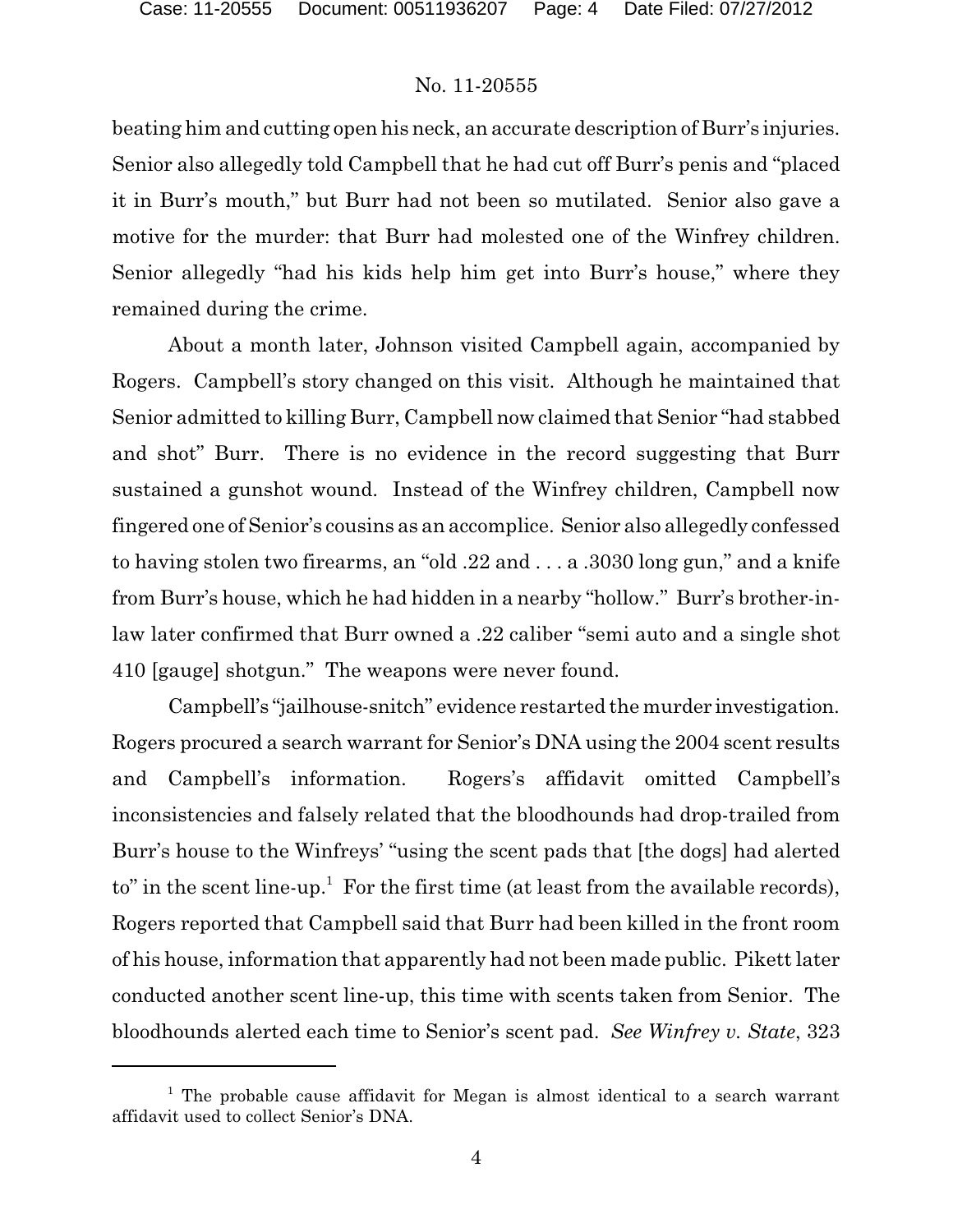beating him and cutting open his neck, an accurate description of Burr's injuries. Senior also allegedly told Campbell that he had cut off Burr's penis and "placed it in Burr's mouth," but Burr had not been so mutilated. Senior also gave a motive for the murder: that Burr had molested one of the Winfrey children. Senior allegedly "had his kids help him get into Burr's house," where they remained during the crime.

About a month later, Johnson visited Campbell again, accompanied by Rogers. Campbell's story changed on this visit. Although he maintained that Senior admitted to killing Burr, Campbell now claimed that Senior "had stabbed and shot" Burr. There is no evidence in the record suggesting that Burr sustained a gunshot wound. Instead of the Winfrey children, Campbell now fingered one of Senior's cousins as an accomplice. Senior also allegedly confessed to having stolen two firearms, an "old .22 and . . . a .3030 long gun," and a knife from Burr's house, which he had hidden in a nearby "hollow." Burr's brother-inlaw later confirmed that Burr owned a .22 caliber "semi auto and a single shot 410 [gauge] shotgun." The weapons were never found.

Campbell's "jailhouse-snitch" evidence restarted the murder investigation. Rogers procured a search warrant for Senior's DNA using the 2004 scent results and Campbell's information. Rogers's affidavit omitted Campbell's inconsistencies and falsely related that the bloodhounds had drop-trailed from Burr's house to the Winfreys' "using the scent pads that [the dogs] had alerted to" in the scent line-up.<sup>1</sup> For the first time (at least from the available records), Rogers reported that Campbell said that Burr had been killed in the front room of his house, information that apparently had not been made public. Pikett later conducted another scent line-up, this time with scents taken from Senior. The bloodhounds alerted each time to Senior's scent pad. *See Winfrey v. State*, 323

<sup>&</sup>lt;sup>1</sup> The probable cause affidavit for Megan is almost identical to a search warrant affidavit used to collect Senior's DNA.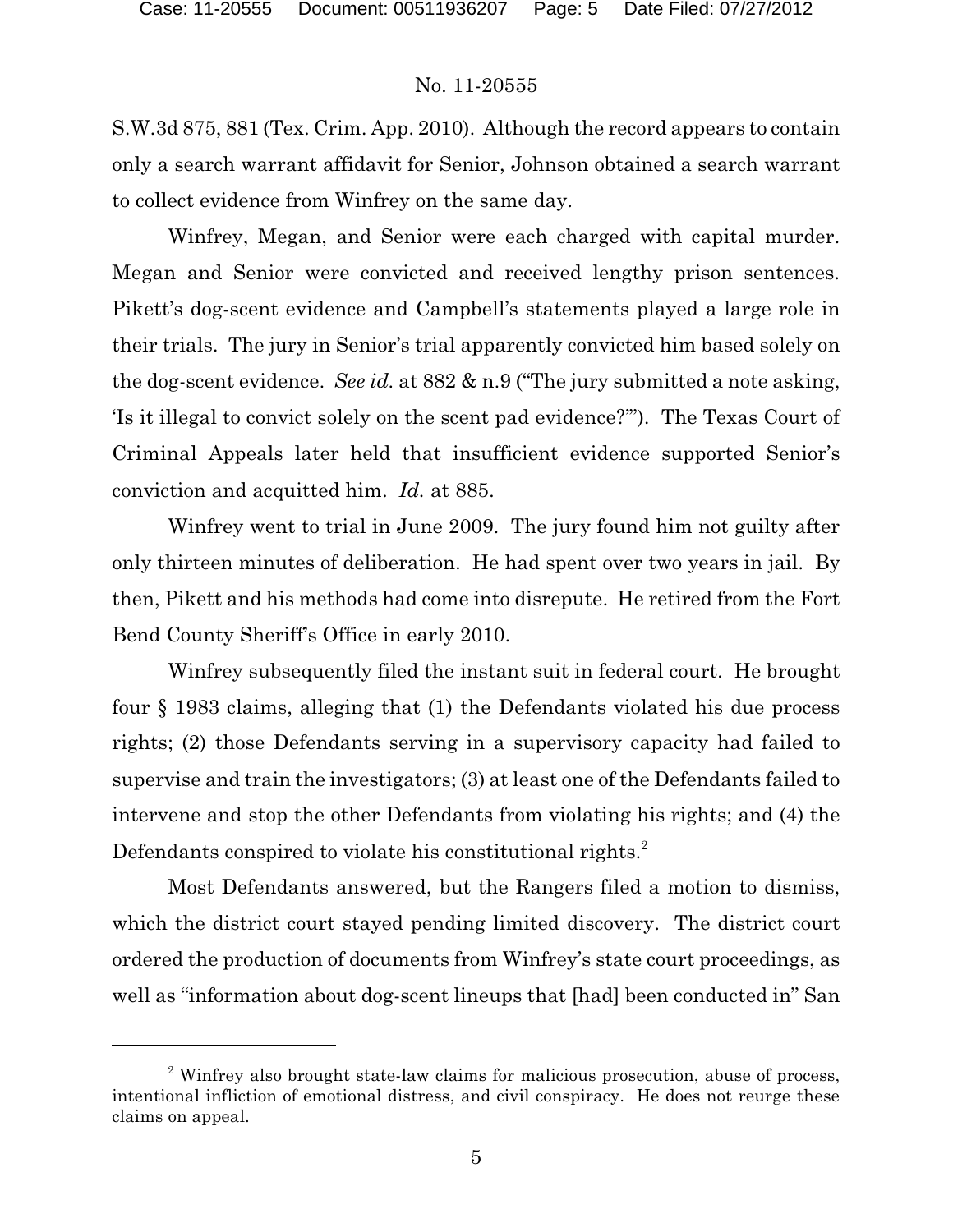S.W.3d 875, 881 (Tex. Crim. App. 2010). Although the record appears to contain only a search warrant affidavit for Senior, Johnson obtained a search warrant to collect evidence from Winfrey on the same day.

Winfrey, Megan, and Senior were each charged with capital murder. Megan and Senior were convicted and received lengthy prison sentences. Pikett's dog-scent evidence and Campbell's statements played a large role in their trials. The jury in Senior's trial apparently convicted him based solely on the dog-scent evidence. *See id.* at 882 & n.9 ("The jury submitted a note asking, 'Is it illegal to convict solely on the scent pad evidence?'"). The Texas Court of Criminal Appeals later held that insufficient evidence supported Senior's conviction and acquitted him. *Id.* at 885.

Winfrey went to trial in June 2009. The jury found him not guilty after only thirteen minutes of deliberation. He had spent over two years in jail. By then, Pikett and his methods had come into disrepute. He retired from the Fort Bend County Sheriff's Office in early 2010.

Winfrey subsequently filed the instant suit in federal court. He brought four § 1983 claims, alleging that (1) the Defendants violated his due process rights; (2) those Defendants serving in a supervisory capacity had failed to supervise and train the investigators; (3) at least one of the Defendants failed to intervene and stop the other Defendants from violating his rights; and (4) the Defendants conspired to violate his constitutional rights.<sup>2</sup>

Most Defendants answered, but the Rangers filed a motion to dismiss, which the district court stayed pending limited discovery. The district court ordered the production of documents from Winfrey's state court proceedings, as well as "information about dog-scent lineups that [had] been conducted in" San

<sup>&</sup>lt;sup>2</sup> Winfrey also brought state-law claims for malicious prosecution, abuse of process, intentional infliction of emotional distress, and civil conspiracy. He does not reurge these claims on appeal.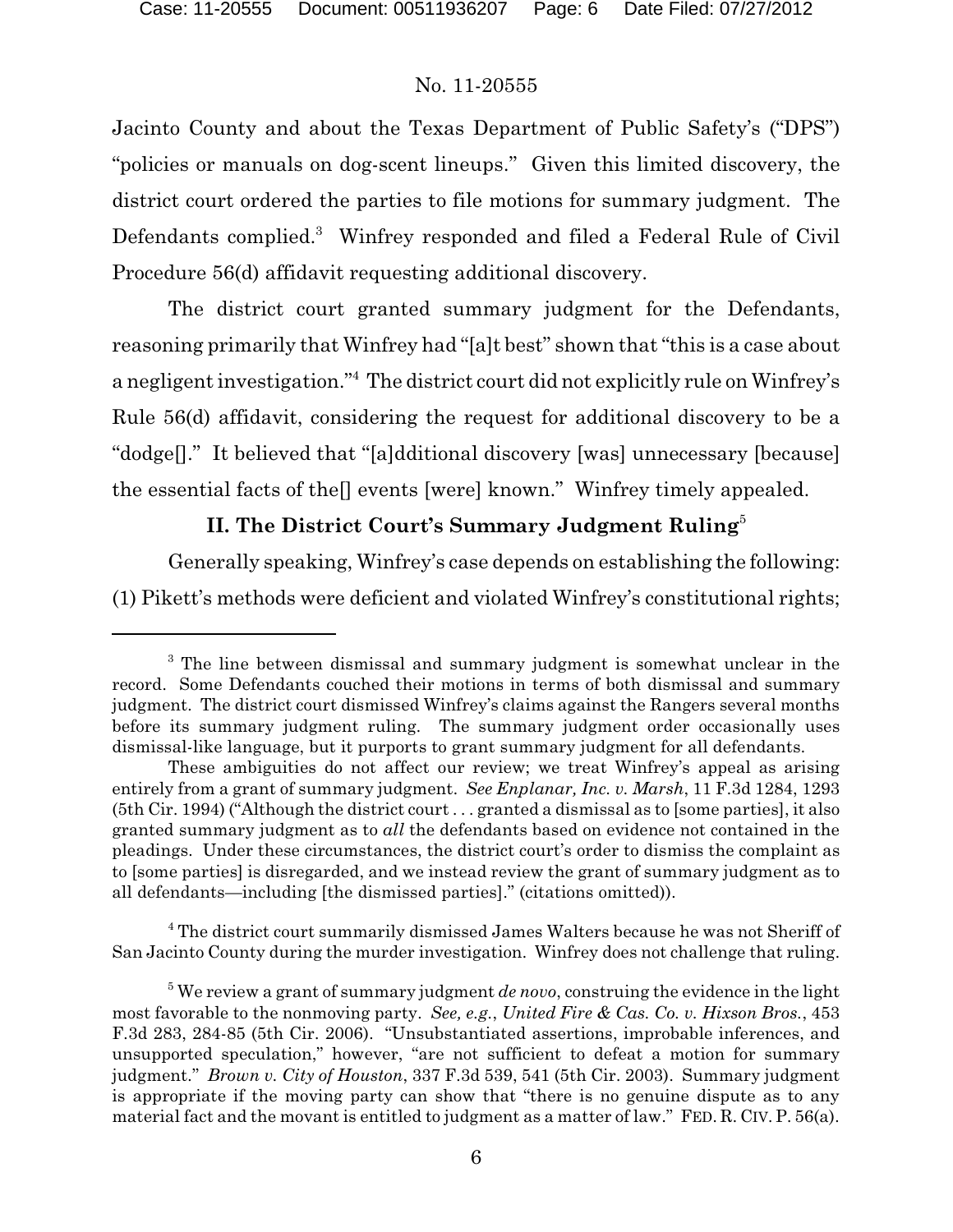Jacinto County and about the Texas Department of Public Safety's ("DPS") "policies or manuals on dog-scent lineups." Given this limited discovery, the district court ordered the parties to file motions for summary judgment. The Defendants complied.<sup>3</sup> Winfrey responded and filed a Federal Rule of Civil Procedure 56(d) affidavit requesting additional discovery.

The district court granted summary judgment for the Defendants, reasoning primarily that Winfrey had "[a]t best" shown that "this is a case about a negligent investigation."<sup>4</sup> The district court did not explicitly rule on Winfrey's Rule 56(d) affidavit, considering the request for additional discovery to be a "dodge[]." It believed that "[a]dditional discovery [was] unnecessary [because] the essential facts of the[] events [were] known." Winfrey timely appealed.

# **II. The District Court's Summary Judgment Ruling**<sup>5</sup>

Generally speaking, Winfrey's case depends on establishing the following: (1) Pikett's methods were deficient and violated Winfrey's constitutional rights;

<sup>4</sup> The district court summarily dismissed James Walters because he was not Sheriff of San Jacinto County during the murder investigation. Winfrey does not challenge that ruling.

 $3$  The line between dismissal and summary judgment is somewhat unclear in the record. Some Defendants couched their motions in terms of both dismissal and summary judgment. The district court dismissed Winfrey's claims against the Rangers several months before its summary judgment ruling. The summary judgment order occasionally uses dismissal-like language, but it purports to grant summary judgment for all defendants.

These ambiguities do not affect our review; we treat Winfrey's appeal as arising entirely from a grant of summary judgment. *See Enplanar, Inc. v. Marsh*, 11 F.3d 1284, 1293 (5th Cir. 1994) ("Although the district court . . . granted a dismissal as to [some parties], it also granted summary judgment as to *all* the defendants based on evidence not contained in the pleadings. Under these circumstances, the district court's order to dismiss the complaint as to [some parties] is disregarded, and we instead review the grant of summary judgment as to all defendants—including [the dismissed parties]." (citations omitted)).

<sup>&</sup>lt;sup>5</sup> We review a grant of summary judgment *de novo*, construing the evidence in the light most favorable to the nonmoving party. *See, e.g.*, *United Fire & Cas. Co. v. Hixson Bros.*, 453 F.3d 283, 284-85 (5th Cir. 2006). "Unsubstantiated assertions, improbable inferences, and unsupported speculation," however, "are not sufficient to defeat a motion for summary judgment." *Brown v. City of Houston*, 337 F.3d 539, 541 (5th Cir. 2003). Summary judgment is appropriate if the moving party can show that "there is no genuine dispute as to any material fact and the movant is entitled to judgment as a matter of law." FED. R. CIV. P. 56(a).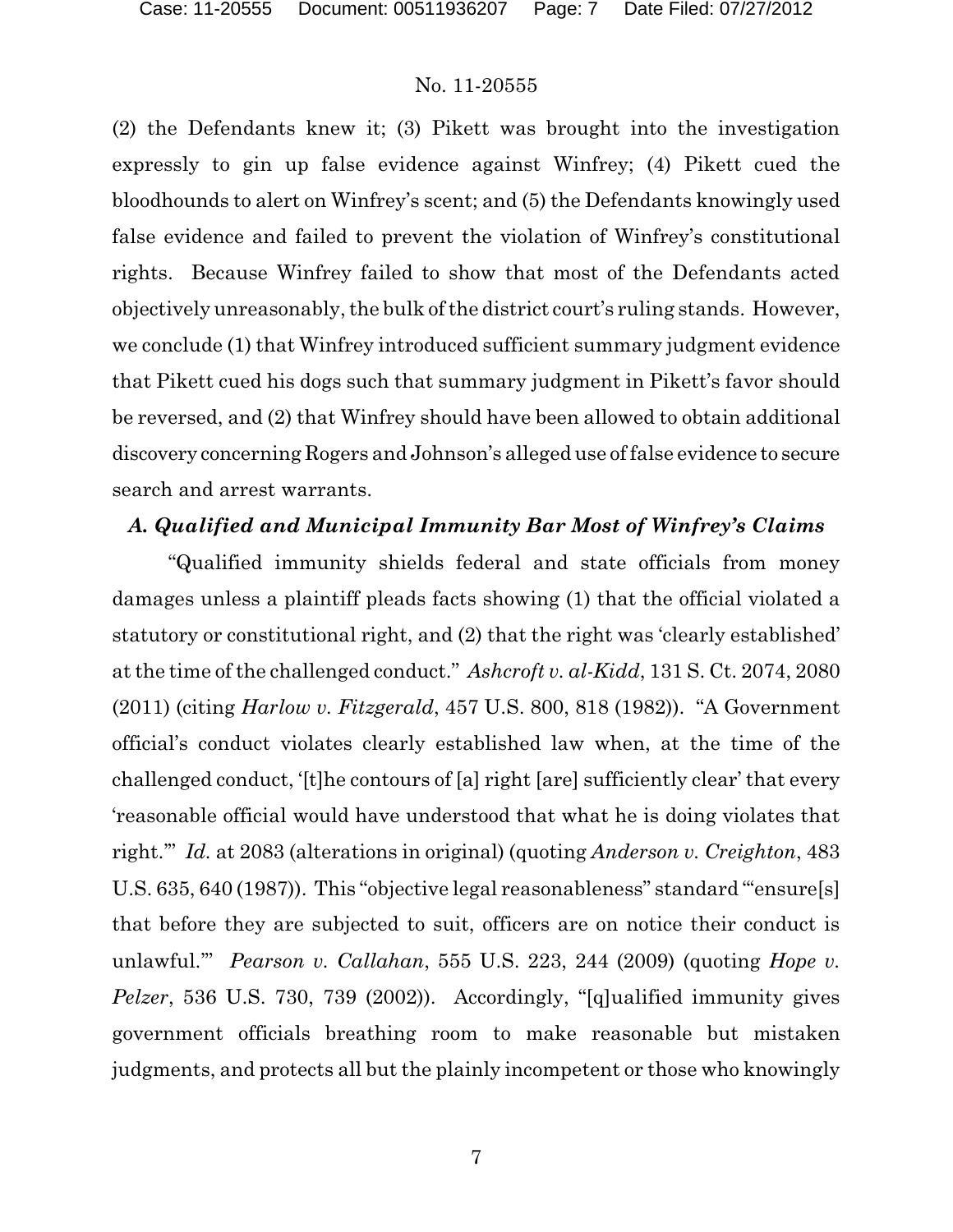(2) the Defendants knew it; (3) Pikett was brought into the investigation expressly to gin up false evidence against Winfrey; (4) Pikett cued the bloodhounds to alert on Winfrey's scent; and (5) the Defendants knowingly used false evidence and failed to prevent the violation of Winfrey's constitutional rights. Because Winfrey failed to show that most of the Defendants acted objectively unreasonably, the bulk of the district court's ruling stands. However, we conclude (1) that Winfrey introduced sufficient summary judgment evidence that Pikett cued his dogs such that summary judgment in Pikett's favor should be reversed, and (2) that Winfrey should have been allowed to obtain additional discovery concerning Rogers and Johnson's alleged use of false evidence to secure search and arrest warrants.

### *A. Qualified and Municipal Immunity Bar Most of Winfrey's Claims*

"Qualified immunity shields federal and state officials from money damages unless a plaintiff pleads facts showing (1) that the official violated a statutory or constitutional right, and (2) that the right was 'clearly established' at the time of the challenged conduct." *Ashcroft v. al-Kidd*, 131 S. Ct. 2074, 2080 (2011) (citing *Harlow v. Fitzgerald*, 457 U.S. 800, 818 (1982)). "A Government official's conduct violates clearly established law when, at the time of the challenged conduct, '[t]he contours of [a] right [are] sufficiently clear' that every 'reasonable official would have understood that what he is doing violates that right.'" *Id.* at 2083 (alterations in original) (quoting *Anderson v. Creighton*, 483 U.S. 635, 640 (1987)). This "objective legal reasonableness" standard "'ensure[s] that before they are subjected to suit, officers are on notice their conduct is unlawful.'" *Pearson v. Callahan*, 555 U.S. 223, 244 (2009) (quoting *Hope v. Pelzer*, 536 U.S. 730, 739 (2002)). Accordingly, "[q]ualified immunity gives government officials breathing room to make reasonable but mistaken judgments, and protects all but the plainly incompetent or those who knowingly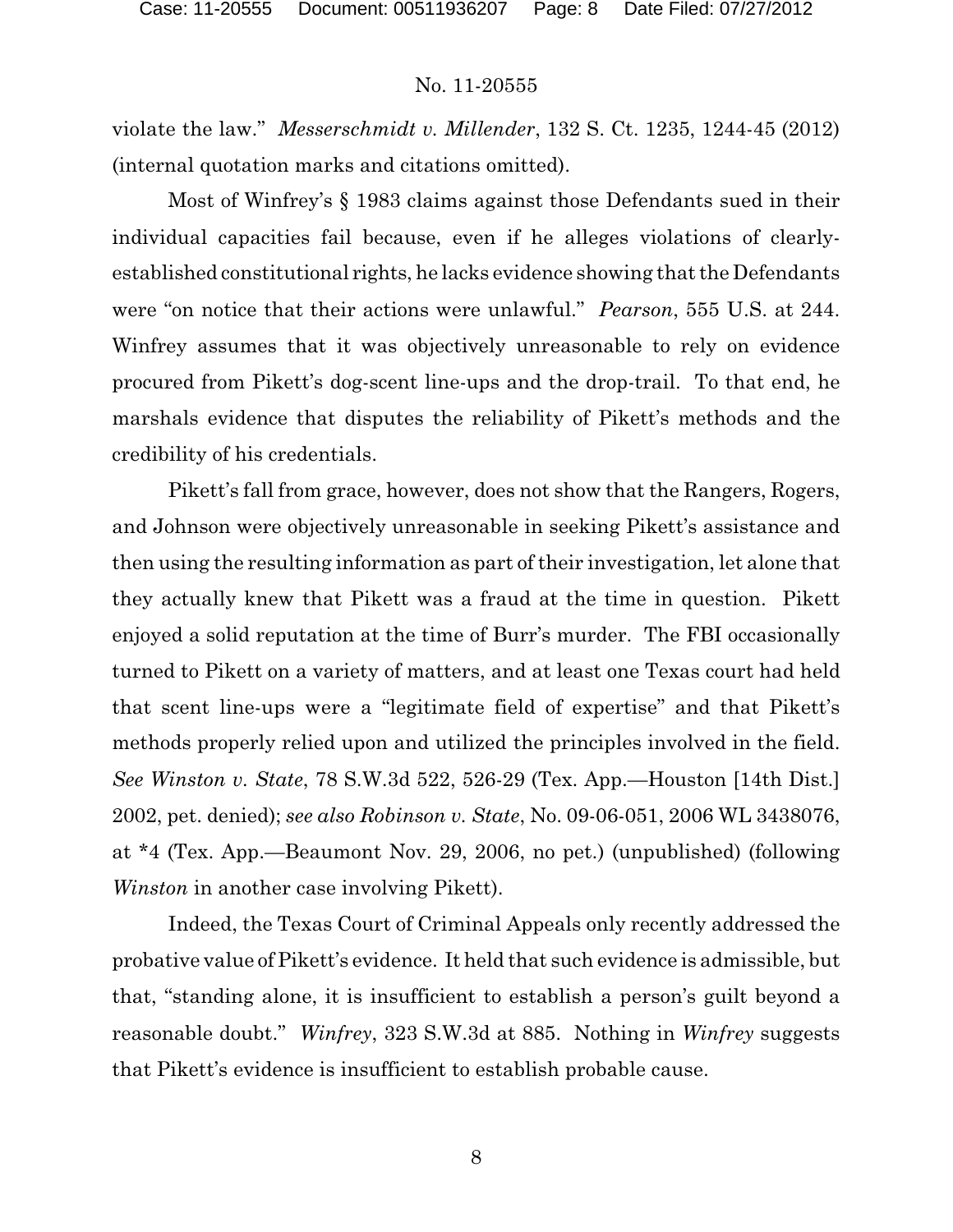violate the law." *Messerschmidt v. Millender*, 132 S. Ct. 1235, 1244-45 (2012) (internal quotation marks and citations omitted).

Most of Winfrey's § 1983 claims against those Defendants sued in their individual capacities fail because, even if he alleges violations of clearlyestablished constitutional rights, he lacks evidence showing that the Defendants were "on notice that their actions were unlawful." *Pearson*, 555 U.S. at 244. Winfrey assumes that it was objectively unreasonable to rely on evidence procured from Pikett's dog-scent line-ups and the drop-trail. To that end, he marshals evidence that disputes the reliability of Pikett's methods and the credibility of his credentials.

Pikett's fall from grace, however, does not show that the Rangers, Rogers, and Johnson were objectively unreasonable in seeking Pikett's assistance and then using the resulting information as part of their investigation, let alone that they actually knew that Pikett was a fraud at the time in question. Pikett enjoyed a solid reputation at the time of Burr's murder. The FBI occasionally turned to Pikett on a variety of matters, and at least one Texas court had held that scent line-ups were a "legitimate field of expertise" and that Pikett's methods properly relied upon and utilized the principles involved in the field. *See Winston v. State*, 78 S.W.3d 522, 526-29 (Tex. App.—Houston [14th Dist.] 2002, pet. denied); *see also Robinson v. State*, No. 09-06-051, 2006 WL 3438076, at \*4 (Tex. App.—Beaumont Nov. 29, 2006, no pet.) (unpublished) (following *Winston* in another case involving Pikett).

Indeed, the Texas Court of Criminal Appeals only recently addressed the probative value of Pikett's evidence. It held that such evidence is admissible, but that, "standing alone, it is insufficient to establish a person's guilt beyond a reasonable doubt." *Winfrey*, 323 S.W.3d at 885. Nothing in *Winfrey* suggests that Pikett's evidence is insufficient to establish probable cause.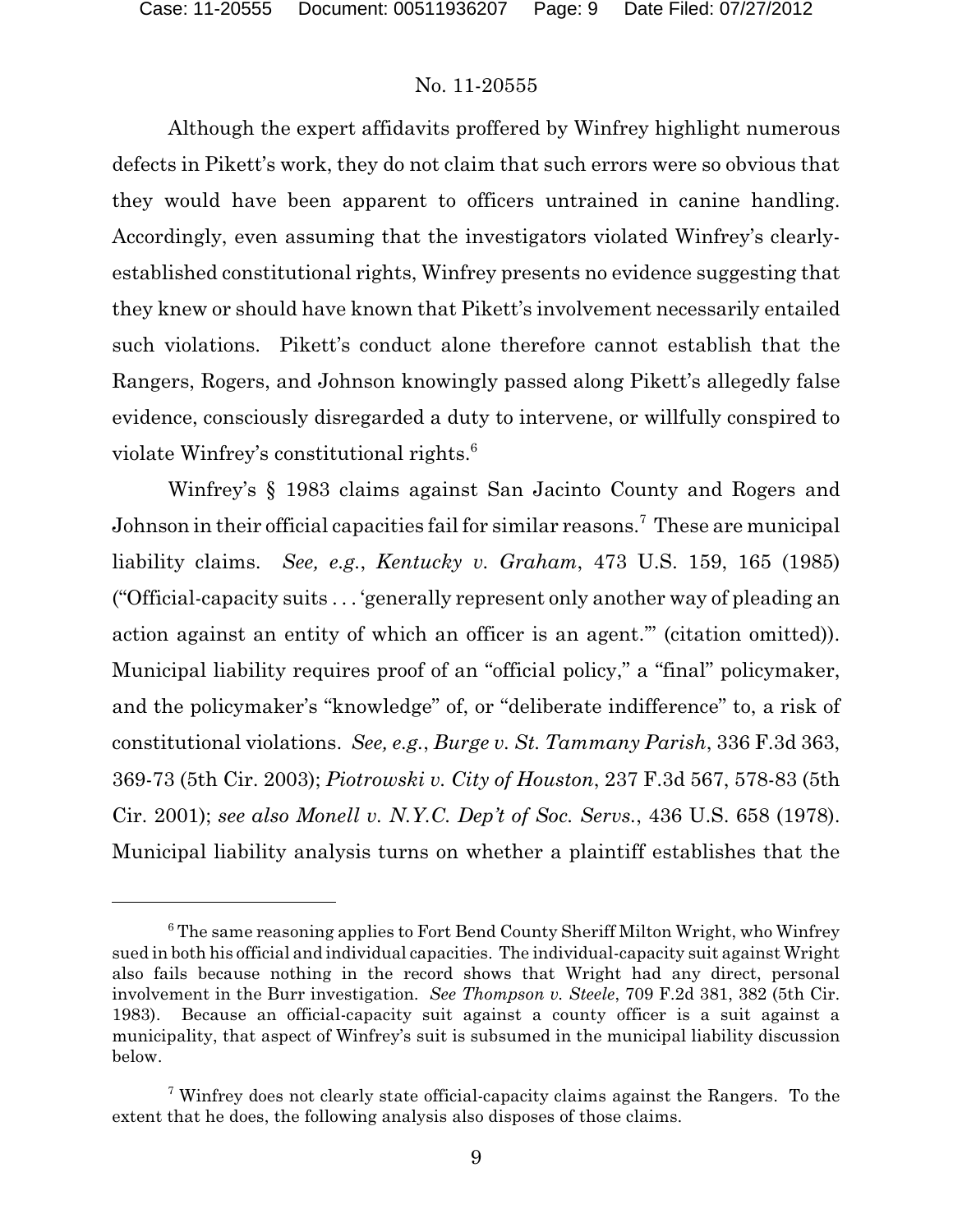Although the expert affidavits proffered by Winfrey highlight numerous defects in Pikett's work, they do not claim that such errors were so obvious that they would have been apparent to officers untrained in canine handling. Accordingly, even assuming that the investigators violated Winfrey's clearlyestablished constitutional rights, Winfrey presents no evidence suggesting that they knew or should have known that Pikett's involvement necessarily entailed such violations. Pikett's conduct alone therefore cannot establish that the Rangers, Rogers, and Johnson knowingly passed along Pikett's allegedly false evidence, consciously disregarded a duty to intervene, or willfully conspired to violate Winfrey's constitutional rights.<sup>6</sup>

Winfrey's § 1983 claims against San Jacinto County and Rogers and Johnson in their official capacities fail for similar reasons.<sup>7</sup> These are municipal liability claims. *See, e.g.*, *Kentucky v. Graham*, 473 U.S. 159, 165 (1985) ("Official-capacity suits . . . 'generally represent only another way of pleading an action against an entity of which an officer is an agent.'" (citation omitted)). Municipal liability requires proof of an "official policy," a "final" policymaker, and the policymaker's "knowledge" of, or "deliberate indifference" to, a risk of constitutional violations. *See, e.g.*, *Burge v. St. Tammany Parish*, 336 F.3d 363, 369-73 (5th Cir. 2003); *Piotrowski v. City of Houston*, 237 F.3d 567, 578-83 (5th Cir. 2001); *see also Monell v. N.Y.C. Dep't of Soc. Servs.*, 436 U.S. 658 (1978). Municipal liability analysis turns on whether a plaintiff establishes that the

 $6$ <sup>6</sup> The same reasoning applies to Fort Bend County Sheriff Milton Wright, who Winfrey sued in both his official and individual capacities. The individual-capacity suit against Wright also fails because nothing in the record shows that Wright had any direct, personal involvement in the Burr investigation. *See Thompson v. Steele*, 709 F.2d 381, 382 (5th Cir. 1983). Because an official-capacity suit against a county officer is a suit against a municipality, that aspect of Winfrey's suit is subsumed in the municipal liability discussion below.

<sup>&</sup>lt;sup>7</sup> Winfrey does not clearly state official-capacity claims against the Rangers. To the extent that he does, the following analysis also disposes of those claims.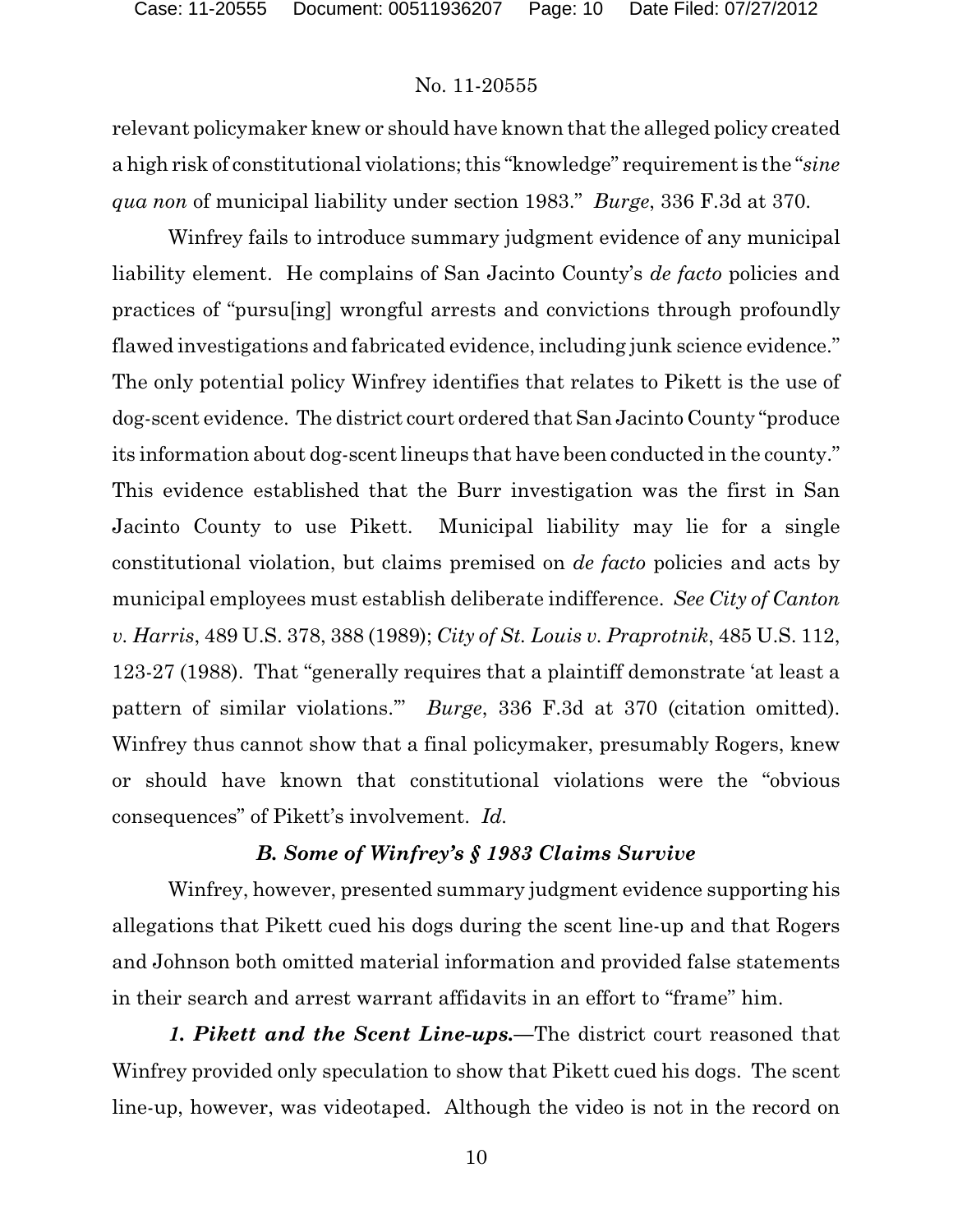relevant policymaker knew or should have known that the alleged policy created a high risk of constitutional violations; this "knowledge" requirement is the "*sine qua non* of municipal liability under section 1983." *Burge*, 336 F.3d at 370.

Winfrey fails to introduce summary judgment evidence of any municipal liability element. He complains of San Jacinto County's *de facto* policies and practices of "pursu[ing] wrongful arrests and convictions through profoundly flawed investigations and fabricated evidence, including junk science evidence." The only potential policy Winfrey identifies that relates to Pikett is the use of dog-scent evidence. The district court ordered that San Jacinto County "produce its information about dog-scent lineups that have been conducted in the county." This evidence established that the Burr investigation was the first in San Jacinto County to use Pikett. Municipal liability may lie for a single constitutional violation, but claims premised on *de facto* policies and acts by municipal employees must establish deliberate indifference. *See City of Canton v. Harris*, 489 U.S. 378, 388 (1989); *City of St. Louis v. Praprotnik*, 485 U.S. 112, 123-27 (1988). That "generally requires that a plaintiff demonstrate 'at least a pattern of similar violations.'" *Burge*, 336 F.3d at 370 (citation omitted). Winfrey thus cannot show that a final policymaker, presumably Rogers, knew or should have known that constitutional violations were the "obvious consequences" of Pikett's involvement. *Id.*

# *B. Some of Winfrey's § 1983 Claims Survive*

Winfrey, however, presented summary judgment evidence supporting his allegations that Pikett cued his dogs during the scent line-up and that Rogers and Johnson both omitted material information and provided false statements in their search and arrest warrant affidavits in an effort to "frame" him.

*1. Pikett and the Scent Line-ups.—*The district court reasoned that Winfrey provided only speculation to show that Pikett cued his dogs. The scent line-up, however, was videotaped. Although the video is not in the record on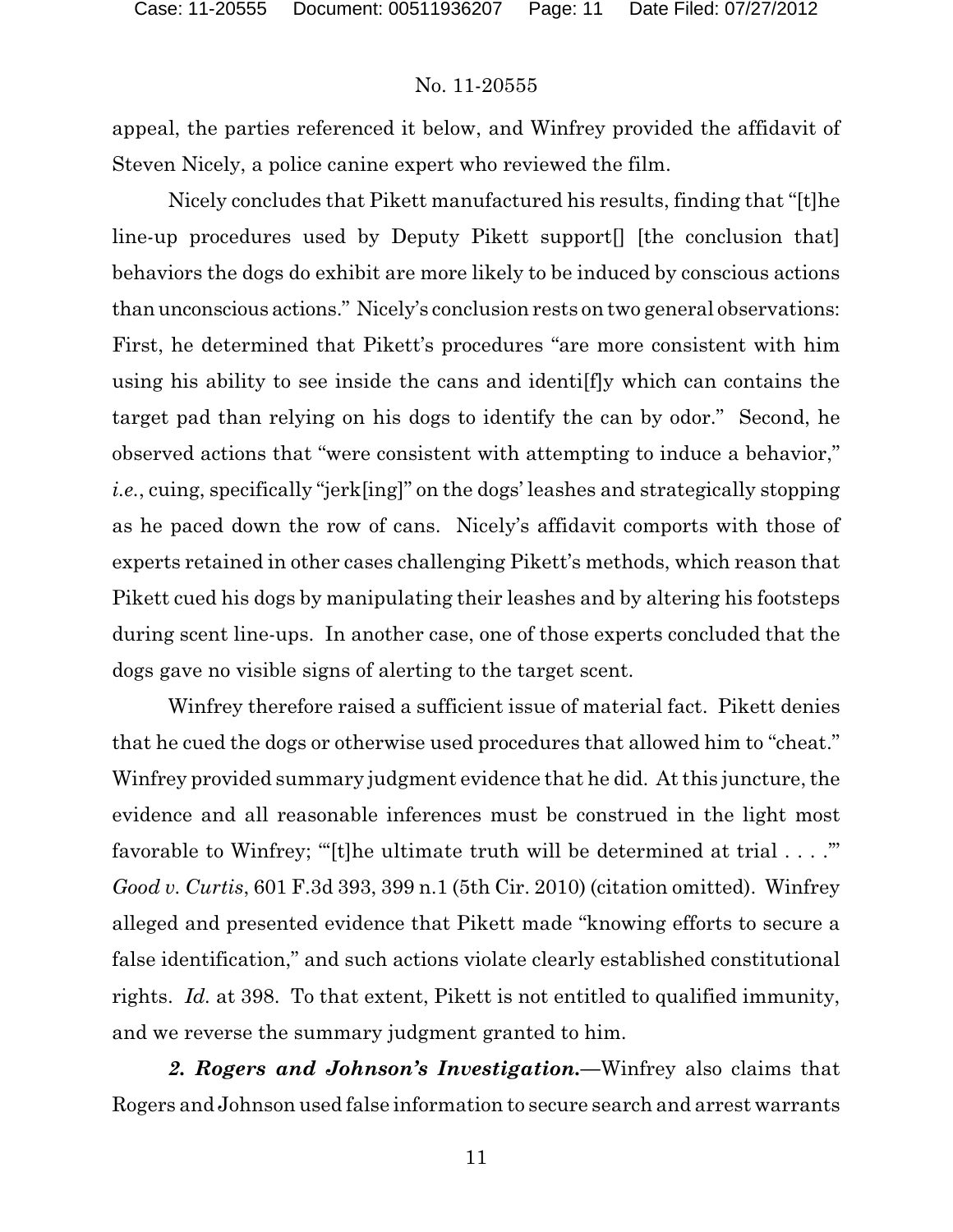appeal, the parties referenced it below, and Winfrey provided the affidavit of Steven Nicely, a police canine expert who reviewed the film.

Nicely concludes that Pikett manufactured his results, finding that "[t]he line-up procedures used by Deputy Pikett support[] [the conclusion that] behaviors the dogs do exhibit are more likely to be induced by conscious actions than unconscious actions." Nicely's conclusion rests on two general observations: First, he determined that Pikett's procedures "are more consistent with him using his ability to see inside the cans and identi[f]y which can contains the target pad than relying on his dogs to identify the can by odor." Second, he observed actions that "were consistent with attempting to induce a behavior," *i.e.*, cuing, specifically "jerk[ing]" on the dogs' leashes and strategically stopping as he paced down the row of cans. Nicely's affidavit comports with those of experts retained in other cases challenging Pikett's methods, which reason that Pikett cued his dogs by manipulating their leashes and by altering his footsteps during scent line-ups. In another case, one of those experts concluded that the dogs gave no visible signs of alerting to the target scent.

Winfrey therefore raised a sufficient issue of material fact. Pikett denies that he cued the dogs or otherwise used procedures that allowed him to "cheat." Winfrey provided summary judgment evidence that he did. At this juncture, the evidence and all reasonable inferences must be construed in the light most favorable to Winfrey; "[t]he ultimate truth will be determined at trial  $\dots$ ." *Good v. Curtis*, 601 F.3d 393, 399 n.1 (5th Cir. 2010) (citation omitted). Winfrey alleged and presented evidence that Pikett made "knowing efforts to secure a false identification," and such actions violate clearly established constitutional rights. *Id.* at 398. To that extent, Pikett is not entitled to qualified immunity, and we reverse the summary judgment granted to him.

*2. Rogers and Johnson's Investigation.—*Winfrey also claims that Rogers and Johnson used false information to secure search and arrest warrants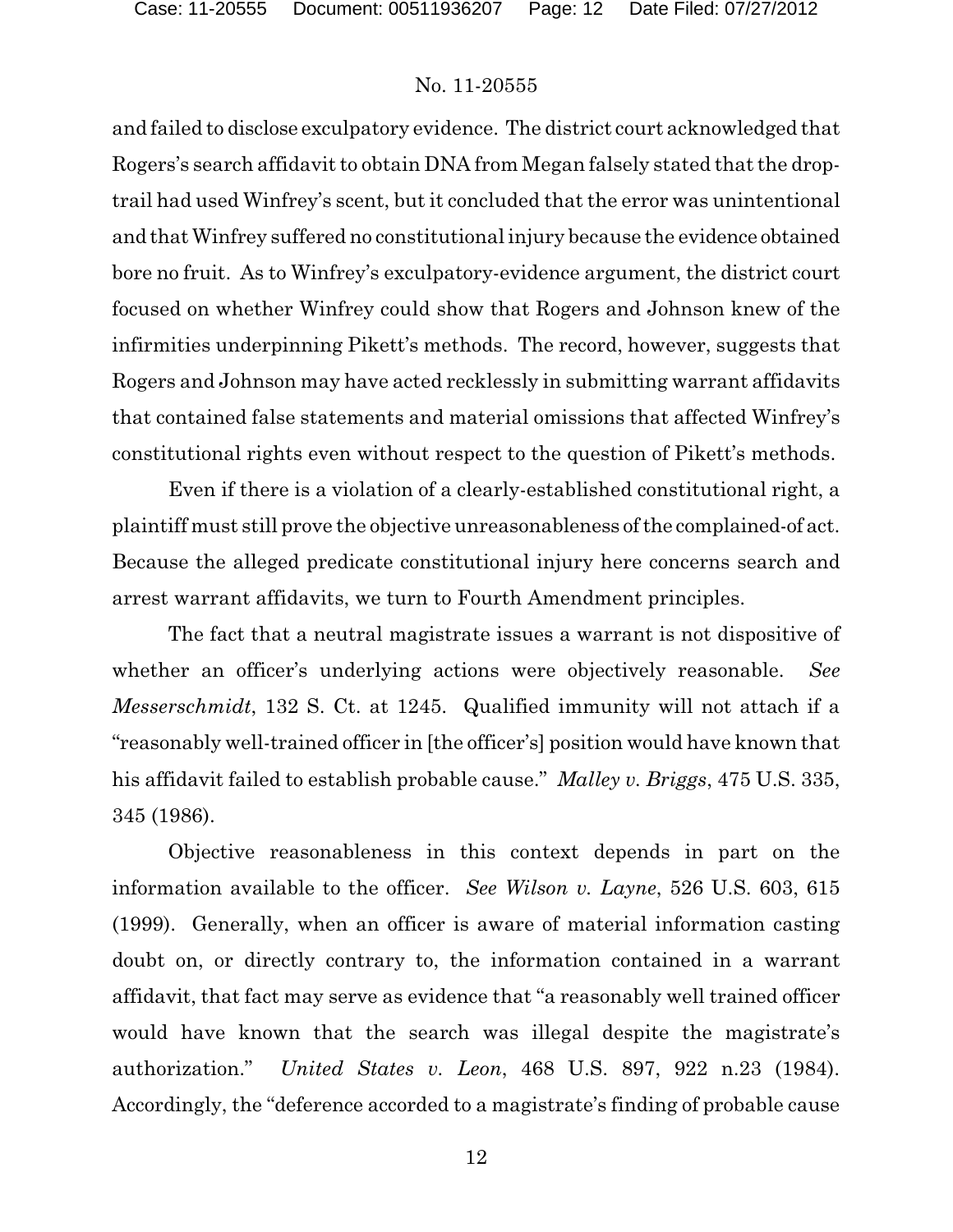and failed to disclose exculpatory evidence. The district court acknowledged that Rogers's search affidavit to obtain DNA from Megan falsely stated that the droptrail had used Winfrey's scent, but it concluded that the error was unintentional and that Winfrey suffered no constitutional injury because the evidence obtained bore no fruit. As to Winfrey's exculpatory-evidence argument, the district court focused on whether Winfrey could show that Rogers and Johnson knew of the infirmities underpinning Pikett's methods. The record, however, suggests that Rogers and Johnson may have acted recklessly in submitting warrant affidavits that contained false statements and material omissions that affected Winfrey's constitutional rights even without respect to the question of Pikett's methods.

Even if there is a violation of a clearly-established constitutional right, a plaintiff must still prove the objective unreasonableness ofthe complained-of act. Because the alleged predicate constitutional injury here concerns search and arrest warrant affidavits, we turn to Fourth Amendment principles.

The fact that a neutral magistrate issues a warrant is not dispositive of whether an officer's underlying actions were objectively reasonable. *See Messerschmidt*, 132 S. Ct. at 1245. Qualified immunity will not attach if a "reasonably well-trained officer in [the officer's] position would have known that his affidavit failed to establish probable cause." *Malley v. Briggs*, 475 U.S. 335, 345 (1986).

Objective reasonableness in this context depends in part on the information available to the officer. *See Wilson v. Layne*, 526 U.S. 603, 615 (1999). Generally, when an officer is aware of material information casting doubt on, or directly contrary to, the information contained in a warrant affidavit, that fact may serve as evidence that "a reasonably well trained officer would have known that the search was illegal despite the magistrate's authorization." *United States v. Leon*, 468 U.S. 897, 922 n.23 (1984). Accordingly, the "deference accorded to a magistrate's finding of probable cause

12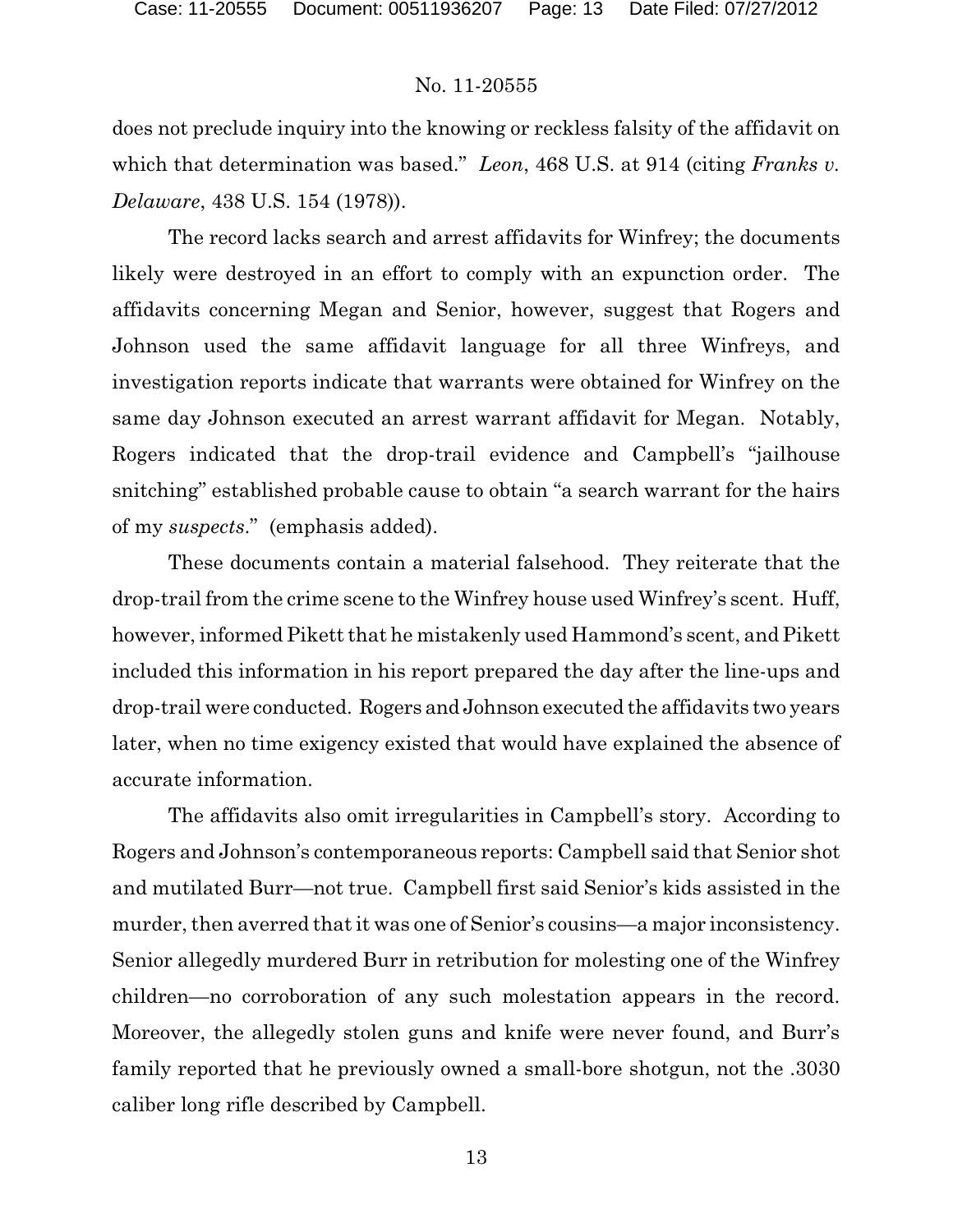does not preclude inquiry into the knowing or reckless falsity of the affidavit on which that determination was based." *Leon*, 468 U.S. at 914 (citing *Franks v. Delaware*, 438 U.S. 154 (1978)).

The record lacks search and arrest affidavits for Winfrey; the documents likely were destroyed in an effort to comply with an expunction order. The affidavits concerning Megan and Senior, however, suggest that Rogers and Johnson used the same affidavit language for all three Winfreys, and investigation reports indicate that warrants were obtained for Winfrey on the same day Johnson executed an arrest warrant affidavit for Megan. Notably, Rogers indicated that the drop-trail evidence and Campbell's "jailhouse snitching" established probable cause to obtain "a search warrant for the hairs of my *suspects*." (emphasis added).

These documents contain a material falsehood. They reiterate that the drop-trail from the crime scene to the Winfrey house used Winfrey's scent. Huff, however, informed Pikett that he mistakenly used Hammond's scent, and Pikett included this information in his report prepared the day after the line-ups and drop-trail were conducted. Rogers and Johnson executed the affidavits two years later, when no time exigency existed that would have explained the absence of accurate information.

The affidavits also omit irregularities in Campbell's story. According to Rogers and Johnson's contemporaneous reports: Campbell said that Senior shot and mutilated Burr—not true. Campbell first said Senior's kids assisted in the murder, then averred that it was one of Senior's cousins—a major inconsistency. Senior allegedly murdered Burr in retribution for molesting one of the Winfrey children—no corroboration of any such molestation appears in the record. Moreover, the allegedly stolen guns and knife were never found, and Burr's family reported that he previously owned a small-bore shotgun, not the .3030 caliber long rifle described by Campbell.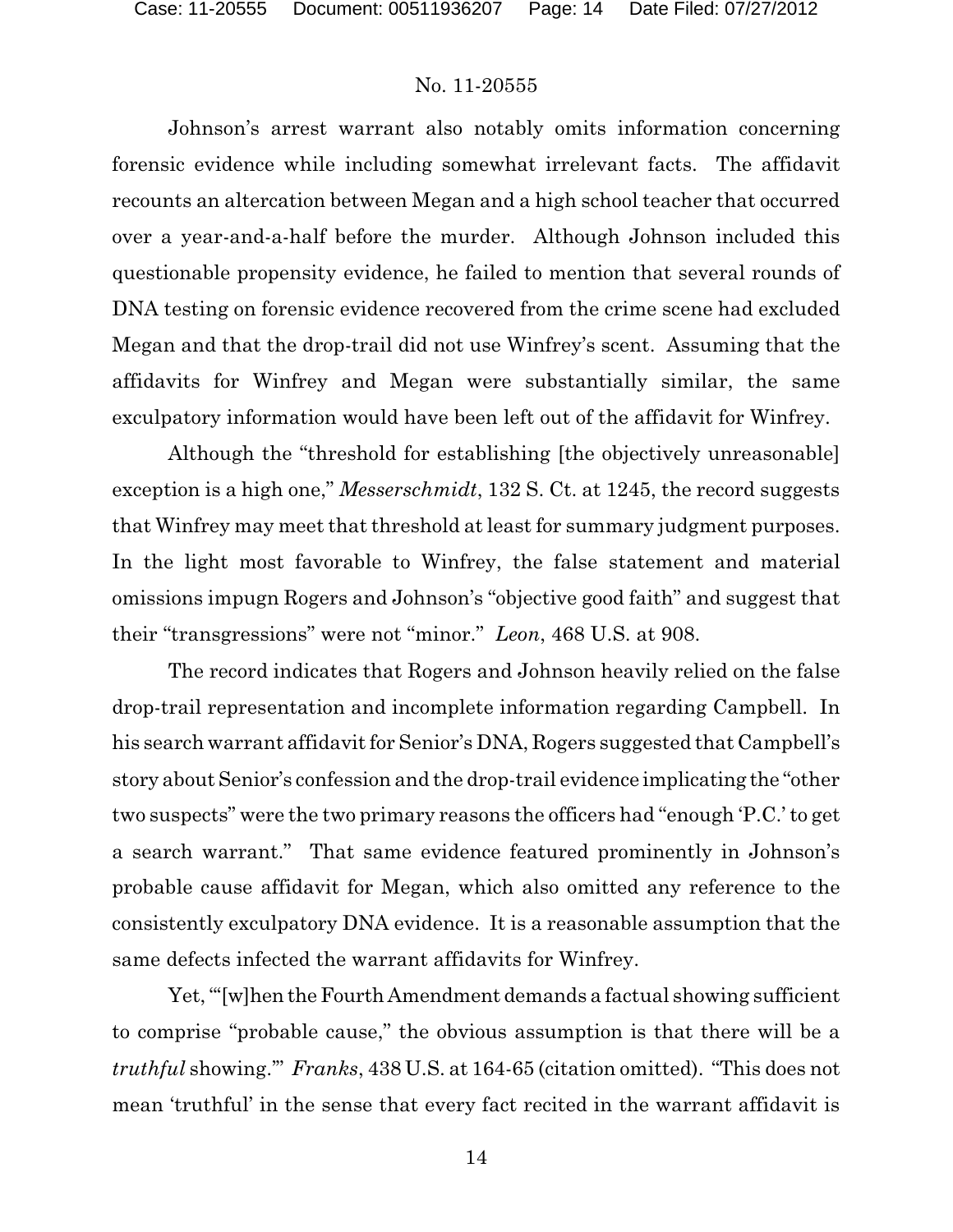Johnson's arrest warrant also notably omits information concerning forensic evidence while including somewhat irrelevant facts. The affidavit recounts an altercation between Megan and a high school teacher that occurred over a year-and-a-half before the murder. Although Johnson included this questionable propensity evidence, he failed to mention that several rounds of DNA testing on forensic evidence recovered from the crime scene had excluded Megan and that the drop-trail did not use Winfrey's scent. Assuming that the affidavits for Winfrey and Megan were substantially similar, the same exculpatory information would have been left out of the affidavit for Winfrey.

Although the "threshold for establishing [the objectively unreasonable] exception is a high one," *Messerschmidt*, 132 S. Ct. at 1245, the record suggests that Winfrey may meet that threshold at least for summary judgment purposes. In the light most favorable to Winfrey, the false statement and material omissions impugn Rogers and Johnson's "objective good faith" and suggest that their "transgressions" were not "minor." *Leon*, 468 U.S. at 908.

The record indicates that Rogers and Johnson heavily relied on the false drop-trail representation and incomplete information regarding Campbell. In his search warrant affidavit for Senior's DNA, Rogers suggested that Campbell's story about Senior's confession and the drop-trail evidence implicating the "other two suspects" were the two primary reasons the officers had "enough 'P.C.' to get a search warrant." That same evidence featured prominently in Johnson's probable cause affidavit for Megan, which also omitted any reference to the consistently exculpatory DNA evidence. It is a reasonable assumption that the same defects infected the warrant affidavits for Winfrey.

Yet, "[w]hen the Fourth Amendment demands a factual showing sufficient to comprise "probable cause," the obvious assumption is that there will be a *truthful* showing.'" *Franks*, 438 U.S. at 164-65 (citation omitted). "This does not mean 'truthful' in the sense that every fact recited in the warrant affidavit is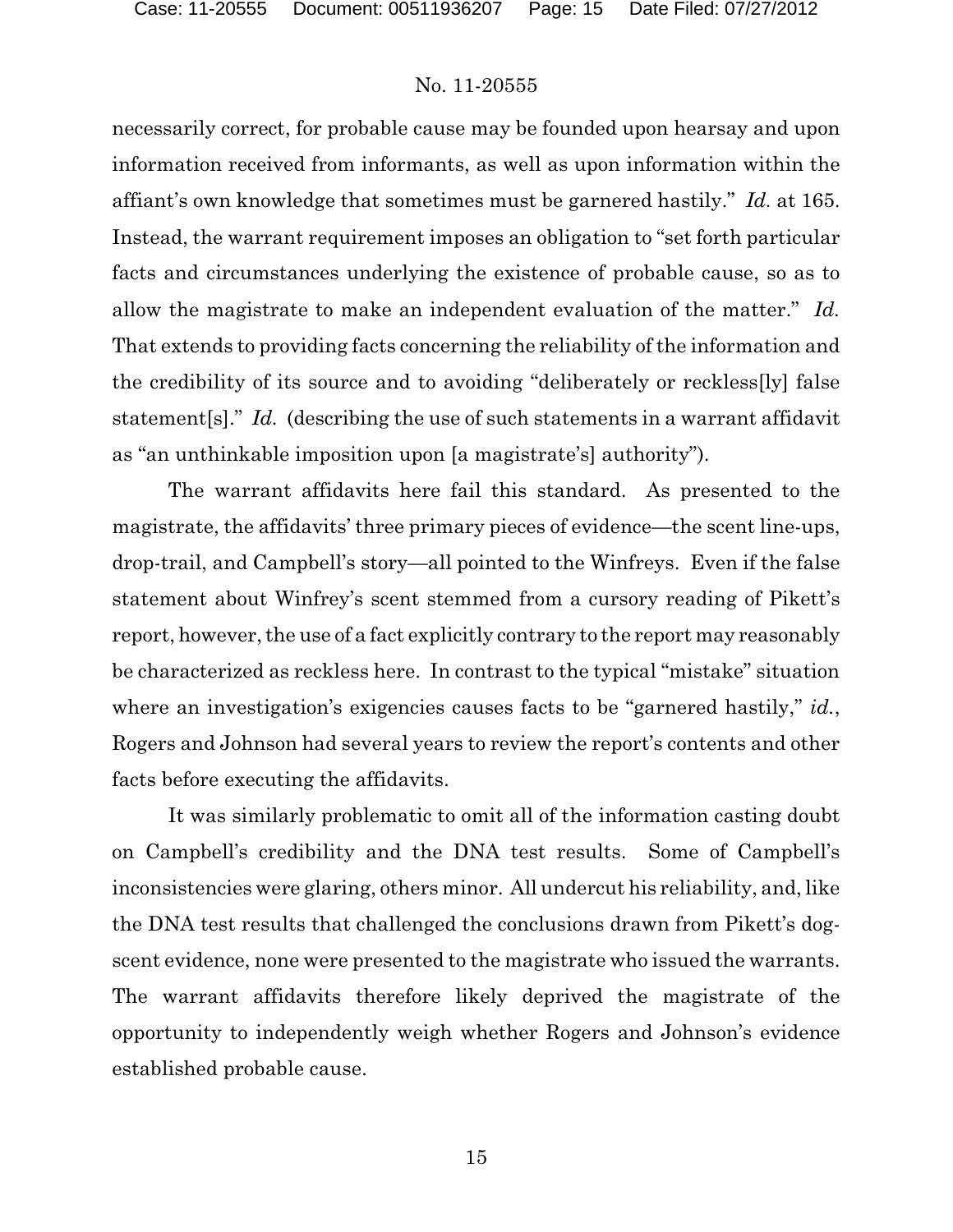necessarily correct, for probable cause may be founded upon hearsay and upon information received from informants, as well as upon information within the affiant's own knowledge that sometimes must be garnered hastily." *Id.* at 165. Instead, the warrant requirement imposes an obligation to "set forth particular facts and circumstances underlying the existence of probable cause, so as to allow the magistrate to make an independent evaluation of the matter." *Id.* That extends to providing facts concerning the reliability of the information and the credibility of its source and to avoiding "deliberately or reckless[ly] false statement[s]." *Id.* (describing the use of such statements in a warrant affidavit as "an unthinkable imposition upon [a magistrate's] authority").

The warrant affidavits here fail this standard. As presented to the magistrate, the affidavits' three primary pieces of evidence—the scent line-ups, drop-trail, and Campbell's story—all pointed to the Winfreys. Even if the false statement about Winfrey's scent stemmed from a cursory reading of Pikett's report, however, the use of a fact explicitly contrary to the report may reasonably be characterized as reckless here. In contrast to the typical "mistake" situation where an investigation's exigencies causes facts to be "garnered hastily," *id.*, Rogers and Johnson had several years to review the report's contents and other facts before executing the affidavits.

It was similarly problematic to omit all of the information casting doubt on Campbell's credibility and the DNA test results. Some of Campbell's inconsistencies were glaring, others minor. All undercut his reliability, and, like the DNA test results that challenged the conclusions drawn from Pikett's dogscent evidence, none were presented to the magistrate who issued the warrants. The warrant affidavits therefore likely deprived the magistrate of the opportunity to independently weigh whether Rogers and Johnson's evidence established probable cause.

15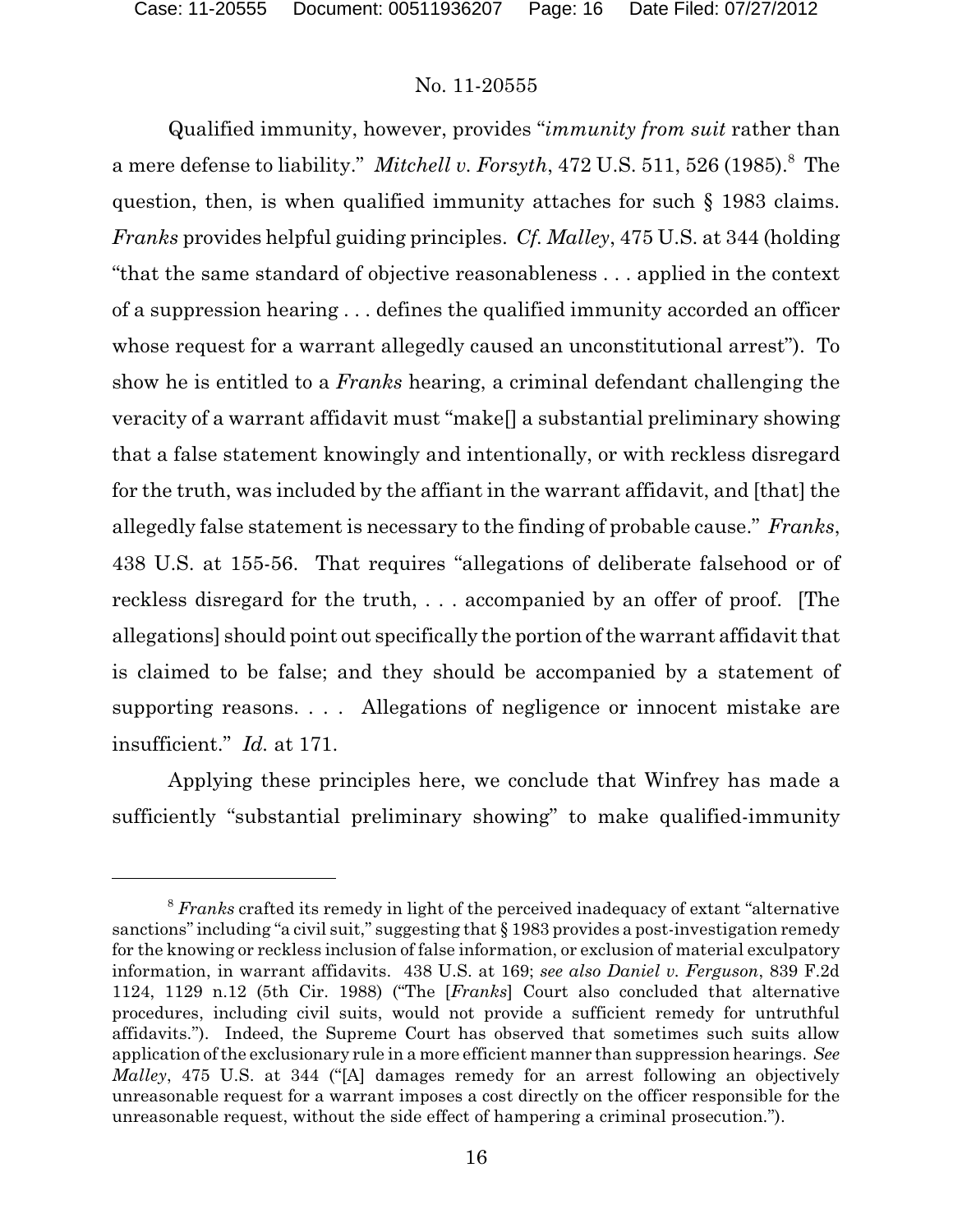Qualified immunity, however, provides "*immunity from suit* rather than a mere defense to liability." *Mitchell v. Forsyth*, 472 U.S. 511, 526 (1985).<sup>8</sup> The question, then, is when qualified immunity attaches for such § 1983 claims. *Franks* provides helpful guiding principles. *Cf. Malley*, 475 U.S. at 344 (holding "that the same standard of objective reasonableness . . . applied in the context of a suppression hearing . . . defines the qualified immunity accorded an officer whose request for a warrant allegedly caused an unconstitutional arrest"). To show he is entitled to a *Franks* hearing, a criminal defendant challenging the veracity of a warrant affidavit must "make[] a substantial preliminary showing that a false statement knowingly and intentionally, or with reckless disregard for the truth, was included by the affiant in the warrant affidavit, and [that] the allegedly false statement is necessary to the finding of probable cause." *Franks*, 438 U.S. at 155-56. That requires "allegations of deliberate falsehood or of reckless disregard for the truth, . . . accompanied by an offer of proof. [The allegations] should point out specifically the portion of the warrant affidavit that is claimed to be false; and they should be accompanied by a statement of supporting reasons. . . . Allegations of negligence or innocent mistake are insufficient." *Id.* at 171.

Applying these principles here, we conclude that Winfrey has made a sufficiently "substantial preliminary showing" to make qualified-immunity

<sup>&</sup>lt;sup>8</sup> Franks crafted its remedy in light of the perceived inadequacy of extant "alternative" sanctions" including "a civil suit," suggesting that § 1983 provides a post-investigation remedy for the knowing or reckless inclusion of false information, or exclusion of material exculpatory information, in warrant affidavits. 438 U.S. at 169; *see also Daniel v. Ferguson*, 839 F.2d 1124, 1129 n.12 (5th Cir. 1988) ("The [*Franks*] Court also concluded that alternative procedures, including civil suits, would not provide a sufficient remedy for untruthful affidavits."). Indeed, the Supreme Court has observed that sometimes such suits allow application of the exclusionary rule in a more efficient manner than suppression hearings. *See Malley*, 475 U.S. at 344 ("[A] damages remedy for an arrest following an objectively unreasonable request for a warrant imposes a cost directly on the officer responsible for the unreasonable request, without the side effect of hampering a criminal prosecution.").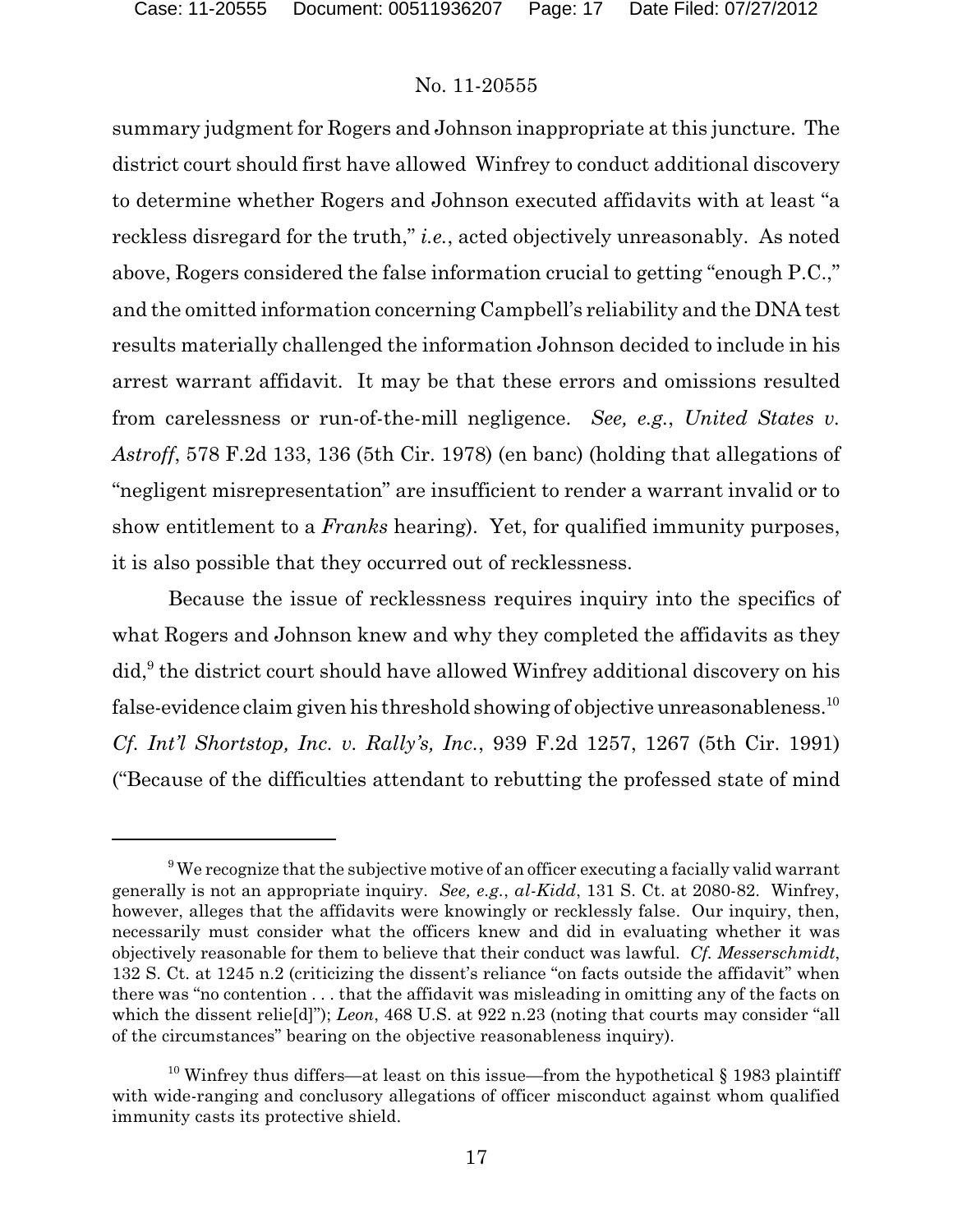summary judgment for Rogers and Johnson inappropriate at this juncture. The district court should first have allowed Winfrey to conduct additional discovery to determine whether Rogers and Johnson executed affidavits with at least "a reckless disregard for the truth," *i.e.*, acted objectively unreasonably. As noted above, Rogers considered the false information crucial to getting "enough P.C.," and the omitted information concerning Campbell's reliability and the DNA test results materially challenged the information Johnson decided to include in his arrest warrant affidavit. It may be that these errors and omissions resulted from carelessness or run-of-the-mill negligence. *See, e.g.*, *United States v. Astroff*, 578 F.2d 133, 136 (5th Cir. 1978) (en banc) (holding that allegations of "negligent misrepresentation" are insufficient to render a warrant invalid or to show entitlement to a *Franks* hearing). Yet, for qualified immunity purposes, it is also possible that they occurred out of recklessness.

Because the issue of recklessness requires inquiry into the specifics of what Rogers and Johnson knew and why they completed the affidavits as they  $\text{did},^9$  the district court should have allowed Winfrey additional discovery on his false-evidence claim given his threshold showing of objective unreasonableness.  $^{10}$ *Cf. Int'l Shortstop, Inc. v. Rally's, Inc.*, 939 F.2d 1257, 1267 (5th Cir. 1991) ("Because of the difficulties attendant to rebutting the professed state of mind

 $9$ We recognize that the subjective motive of an officer executing a facially valid warrant generally is not an appropriate inquiry. *See, e.g.*, *al-Kidd*, 131 S. Ct. at 2080-82. Winfrey, however, alleges that the affidavits were knowingly or recklessly false. Our inquiry, then, necessarily must consider what the officers knew and did in evaluating whether it was objectively reasonable for them to believe that their conduct was lawful. *Cf. Messerschmidt*, 132 S. Ct. at 1245 n.2 (criticizing the dissent's reliance "on facts outside the affidavit" when there was "no contention . . . that the affidavit was misleading in omitting any of the facts on which the dissent relie<sup>[d]"</sup>); *Leon*, 468 U.S. at 922 n.23 (noting that courts may consider "all" of the circumstances" bearing on the objective reasonableness inquiry).

 $10$  Winfrey thus differs—at least on this issue—from the hypothetical § 1983 plaintiff with wide-ranging and conclusory allegations of officer misconduct against whom qualified immunity casts its protective shield.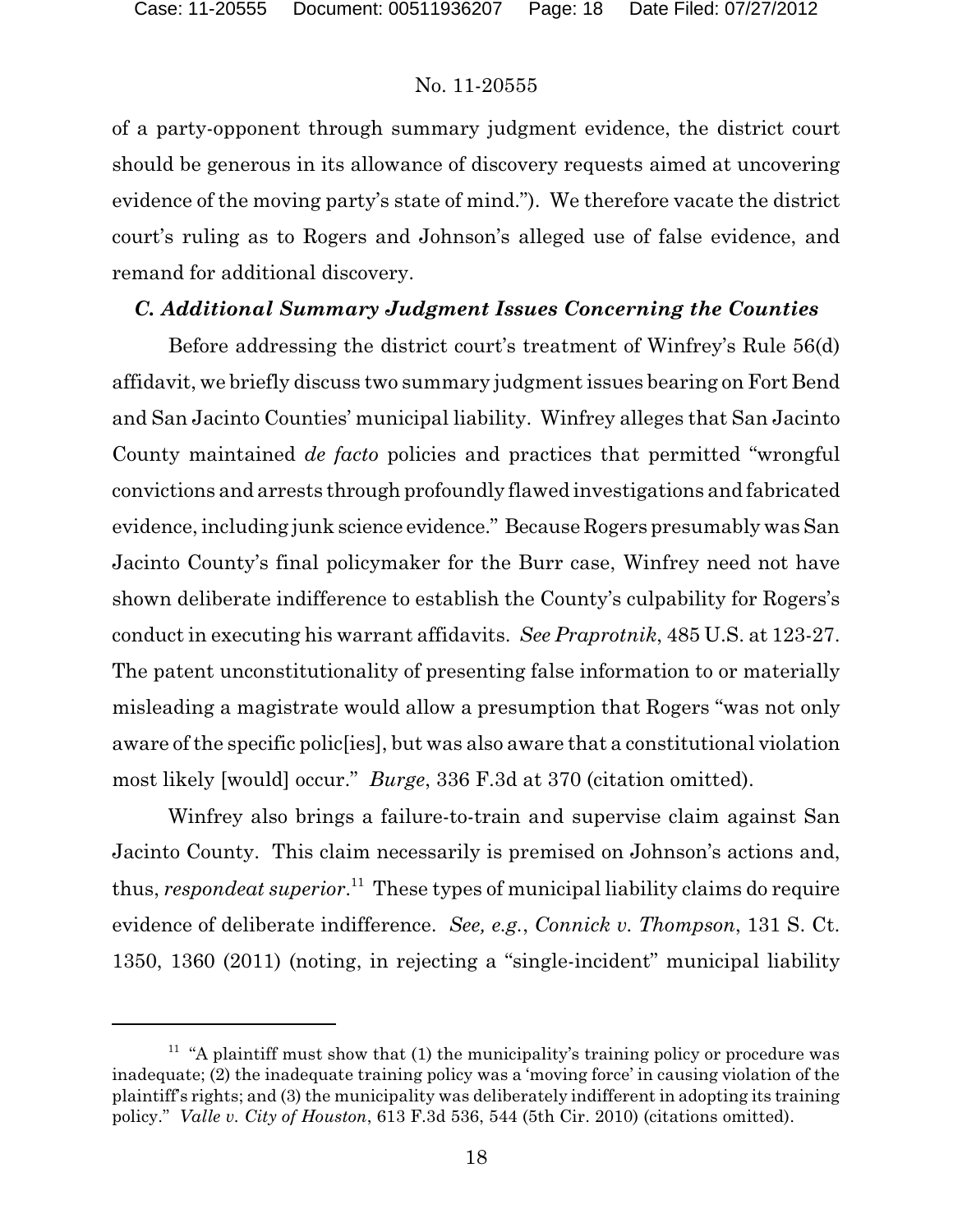of a party-opponent through summary judgment evidence, the district court should be generous in its allowance of discovery requests aimed at uncovering evidence of the moving party's state of mind."). We therefore vacate the district court's ruling as to Rogers and Johnson's alleged use of false evidence, and remand for additional discovery.

### *C. Additional Summary Judgment Issues Concerning the Counties*

Before addressing the district court's treatment of Winfrey's Rule 56(d) affidavit, we briefly discuss two summary judgment issues bearing on Fort Bend and San Jacinto Counties' municipal liability. Winfrey alleges that San Jacinto County maintained *de facto* policies and practices that permitted "wrongful convictions and arrests through profoundly flawed investigations and fabricated evidence, including junk science evidence." Because Rogers presumably was San Jacinto County's final policymaker for the Burr case, Winfrey need not have shown deliberate indifference to establish the County's culpability for Rogers's conduct in executing his warrant affidavits. *See Praprotnik*, 485 U.S. at 123-27. The patent unconstitutionality of presenting false information to or materially misleading a magistrate would allow a presumption that Rogers "was not only aware of the specific polic[ies], but was also aware that a constitutional violation most likely [would] occur." *Burge*, 336 F.3d at 370 (citation omitted).

Winfrey also brings a failure-to-train and supervise claim against San Jacinto County. This claim necessarily is premised on Johnson's actions and, thus, *respondeat superior*.<sup>11</sup> These types of municipal liability claims do require evidence of deliberate indifference. *See, e.g.*, *Connick v. Thompson*, 131 S. Ct. 1350, 1360 (2011) (noting, in rejecting a "single-incident" municipal liability

 $11$  "A plaintiff must show that (1) the municipality's training policy or procedure was inadequate; (2) the inadequate training policy was a 'moving force' in causing violation of the plaintiff's rights; and (3) the municipality was deliberately indifferent in adopting its training policy." *Valle v. City of Houston*, 613 F.3d 536, 544 (5th Cir. 2010) (citations omitted).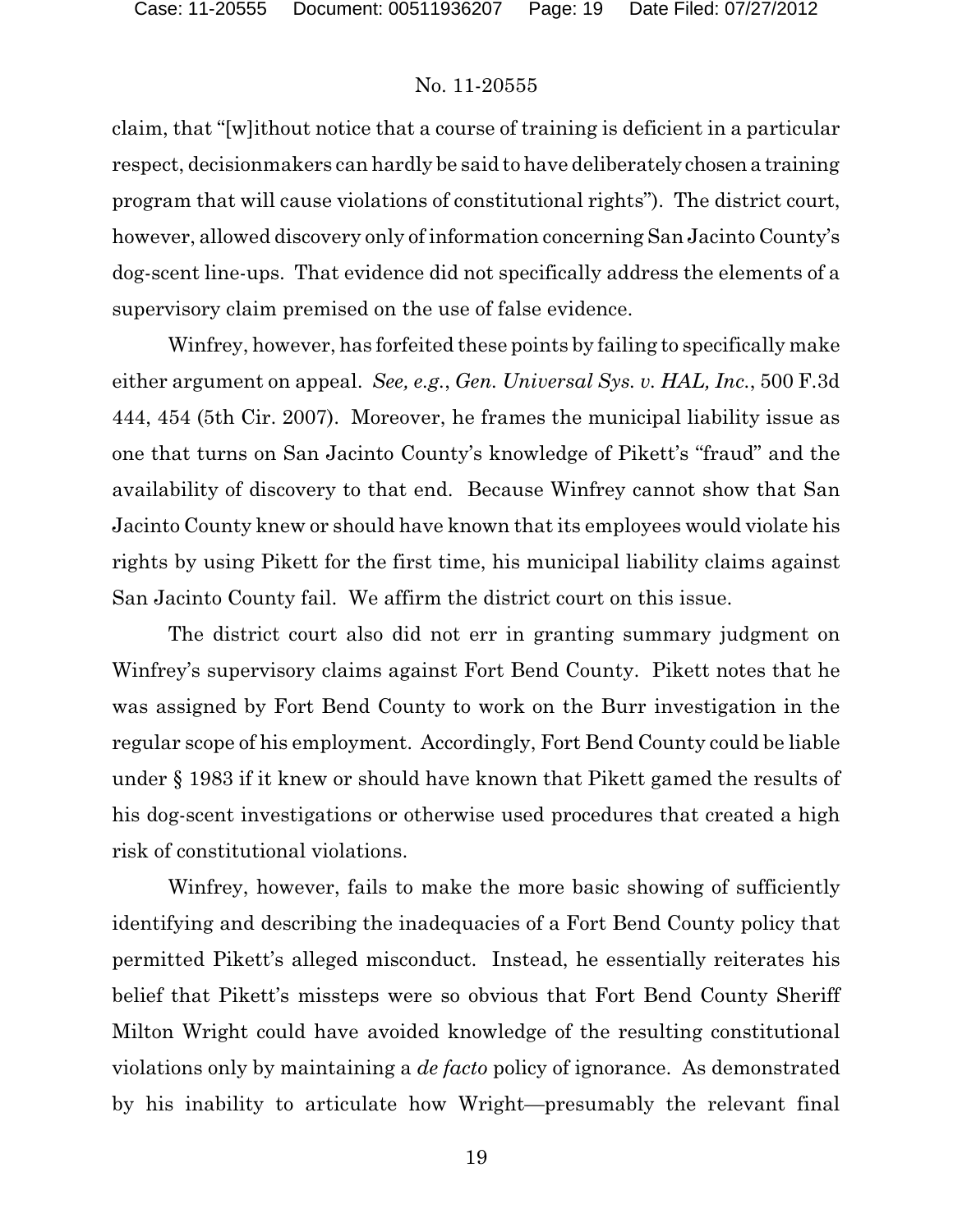claim, that "[w]ithout notice that a course of training is deficient in a particular respect, decisionmakers can hardly be said to have deliberately chosen a training program that will cause violations of constitutional rights"). The district court, however, allowed discovery only of information concerning San Jacinto County's dog-scent line-ups. That evidence did not specifically address the elements of a supervisory claim premised on the use of false evidence.

Winfrey, however, has forfeited these points by failing to specifically make either argument on appeal. *See, e.g.*, *Gen. Universal Sys. v. HAL, Inc.*, 500 F.3d 444, 454 (5th Cir. 2007). Moreover, he frames the municipal liability issue as one that turns on San Jacinto County's knowledge of Pikett's "fraud" and the availability of discovery to that end. Because Winfrey cannot show that San Jacinto County knew or should have known that its employees would violate his rights by using Pikett for the first time, his municipal liability claims against San Jacinto County fail. We affirm the district court on this issue.

The district court also did not err in granting summary judgment on Winfrey's supervisory claims against Fort Bend County. Pikett notes that he was assigned by Fort Bend County to work on the Burr investigation in the regular scope of his employment. Accordingly, Fort Bend County could be liable under § 1983 if it knew or should have known that Pikett gamed the results of his dog-scent investigations or otherwise used procedures that created a high risk of constitutional violations.

Winfrey, however, fails to make the more basic showing of sufficiently identifying and describing the inadequacies of a Fort Bend County policy that permitted Pikett's alleged misconduct. Instead, he essentially reiterates his belief that Pikett's missteps were so obvious that Fort Bend County Sheriff Milton Wright could have avoided knowledge of the resulting constitutional violations only by maintaining a *de facto* policy of ignorance. As demonstrated by his inability to articulate how Wright—presumably the relevant final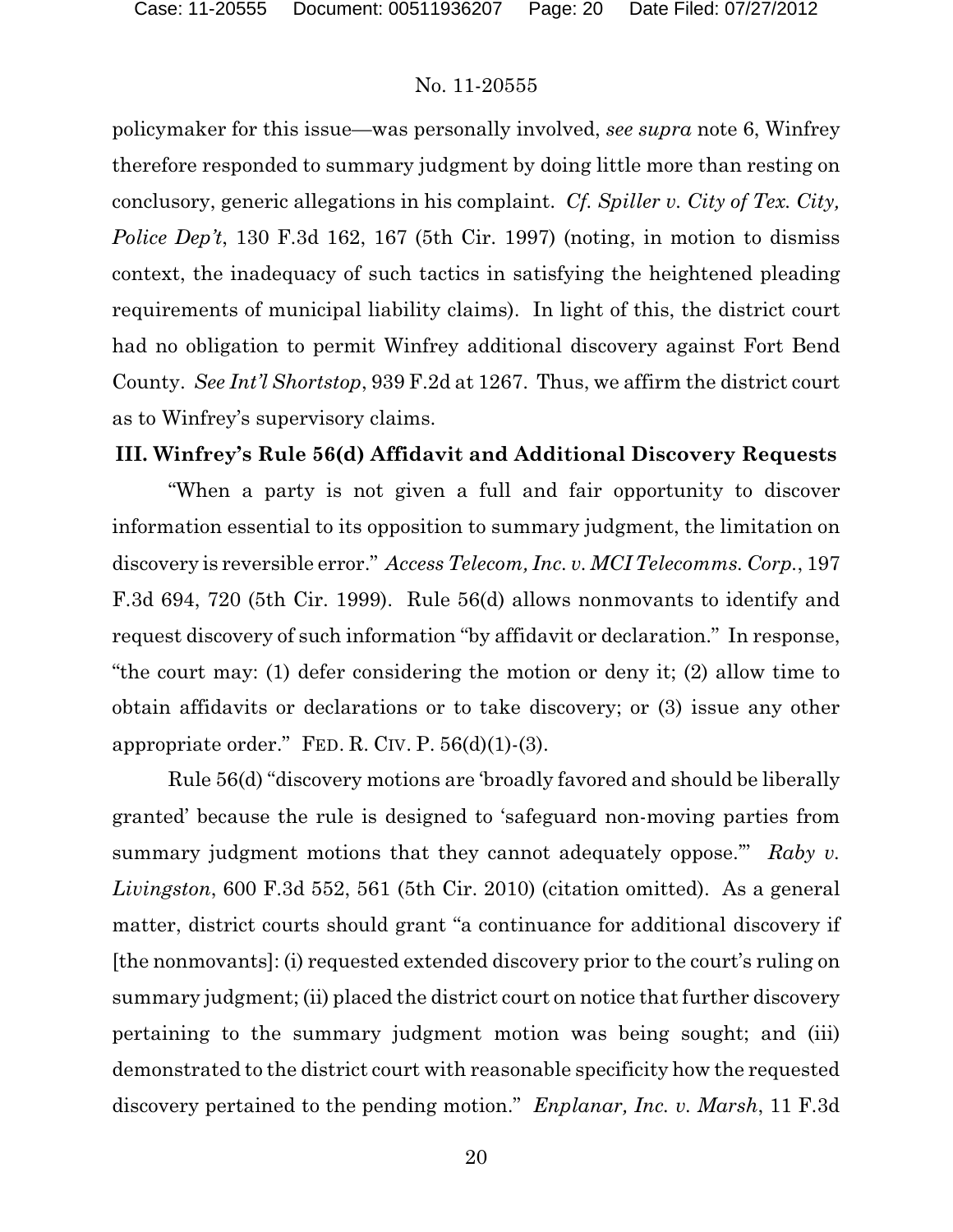policymaker for this issue—was personally involved, *see supra* note 6, Winfrey therefore responded to summary judgment by doing little more than resting on conclusory, generic allegations in his complaint. *Cf. Spiller v. City of Tex. City, Police Dep't*, 130 F.3d 162, 167 (5th Cir. 1997) (noting, in motion to dismiss context, the inadequacy of such tactics in satisfying the heightened pleading requirements of municipal liability claims). In light of this, the district court had no obligation to permit Winfrey additional discovery against Fort Bend County. *See Int'l Shortstop*, 939 F.2d at 1267. Thus, we affirm the district court as to Winfrey's supervisory claims.

### **III. Winfrey's Rule 56(d) Affidavit and Additional Discovery Requests**

"When a party is not given a full and fair opportunity to discover information essential to its opposition to summary judgment, the limitation on discovery is reversible error." *Access Telecom, Inc. v. MCI Telecomms. Corp.*, 197 F.3d 694, 720 (5th Cir. 1999). Rule 56(d) allows nonmovants to identify and request discovery of such information "by affidavit or declaration." In response, "the court may: (1) defer considering the motion or deny it; (2) allow time to obtain affidavits or declarations or to take discovery; or (3) issue any other appropriate order." FED. R. CIV. P.  $56(d)(1)$ - $(3)$ .

Rule 56(d) "discovery motions are 'broadly favored and should be liberally granted' because the rule is designed to 'safeguard non-moving parties from summary judgment motions that they cannot adequately oppose.'" *Raby v. Livingston*, 600 F.3d 552, 561 (5th Cir. 2010) (citation omitted). As a general matter, district courts should grant "a continuance for additional discovery if [the nonmovants]: (i) requested extended discovery prior to the court's ruling on summary judgment; (ii) placed the district court on notice that further discovery pertaining to the summary judgment motion was being sought; and (iii) demonstrated to the district court with reasonable specificity how the requested discovery pertained to the pending motion." *Enplanar, Inc. v. Marsh*, 11 F.3d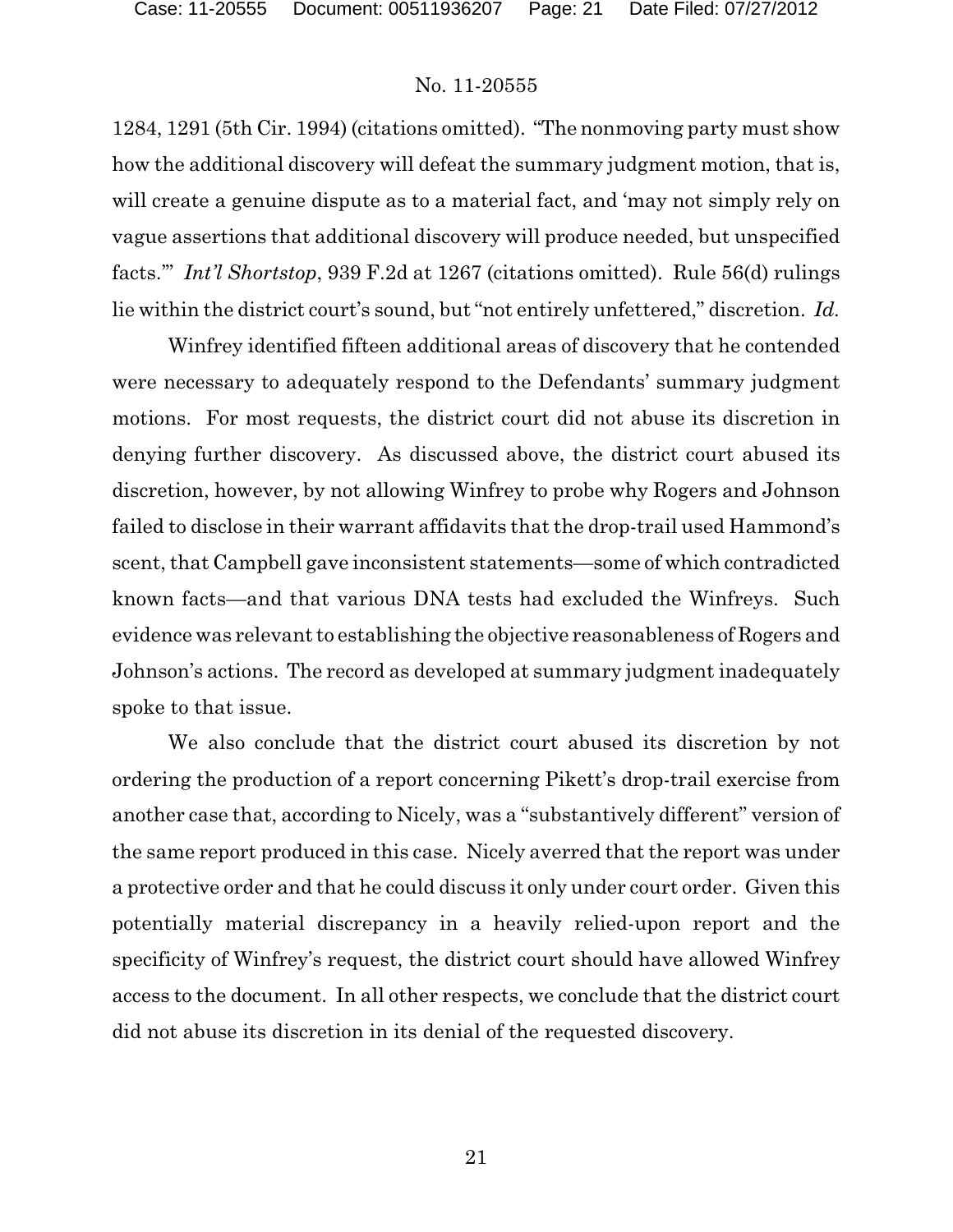1284, 1291 (5th Cir. 1994) (citations omitted). "The nonmoving party must show how the additional discovery will defeat the summary judgment motion, that is, will create a genuine dispute as to a material fact, and 'may not simply rely on vague assertions that additional discovery will produce needed, but unspecified facts.'" *Int'l Shortstop*, 939 F.2d at 1267 (citations omitted). Rule 56(d) rulings lie within the district court's sound, but "not entirely unfettered," discretion. *Id.*

Winfrey identified fifteen additional areas of discovery that he contended were necessary to adequately respond to the Defendants' summary judgment motions. For most requests, the district court did not abuse its discretion in denying further discovery. As discussed above, the district court abused its discretion, however, by not allowing Winfrey to probe why Rogers and Johnson failed to disclose in their warrant affidavits that the drop-trail used Hammond's scent, that Campbell gave inconsistent statements—some of which contradicted known facts—and that various DNA tests had excluded the Winfreys. Such evidence was relevant to establishing the objective reasonableness of Rogers and Johnson's actions. The record as developed at summary judgment inadequately spoke to that issue.

We also conclude that the district court abused its discretion by not ordering the production of a report concerning Pikett's drop-trail exercise from another case that, according to Nicely, was a "substantively different" version of the same report produced in this case. Nicely averred that the report was under a protective order and that he could discuss it only under court order. Given this potentially material discrepancy in a heavily relied-upon report and the specificity of Winfrey's request, the district court should have allowed Winfrey access to the document. In all other respects, we conclude that the district court did not abuse its discretion in its denial of the requested discovery.